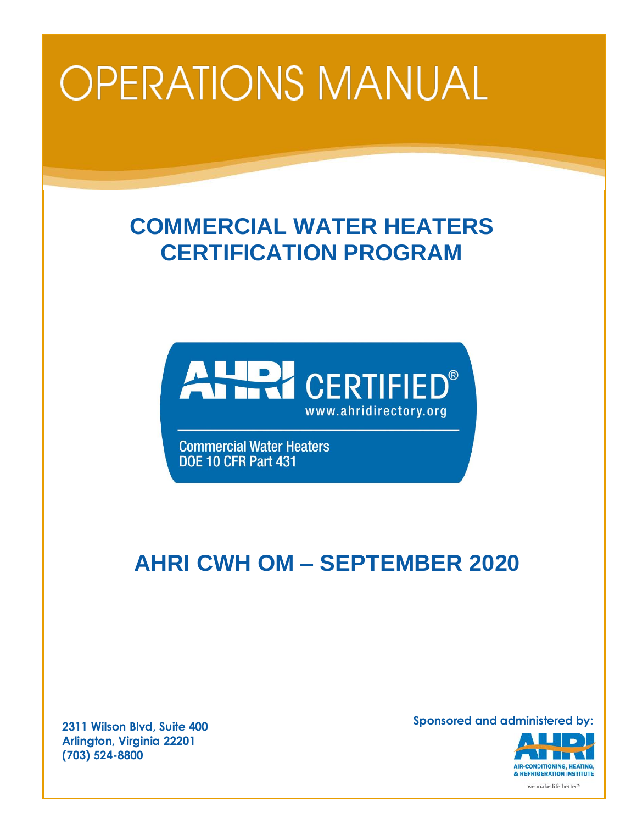# **OPERATIONS MANUAL**

# **COMMERCIAL WATER HEATERS CERTIFICATION PROGRAM**



**Commercial Water Heaters DOE 10 CFR Part 431** 

# **AHRI CWH OM – SEPTEMBER 2020**

**2311 Wilson Blvd, Suite 400 Arlington, Virginia 22201 (703) 524-8800**

**Sponsored and administered by:**

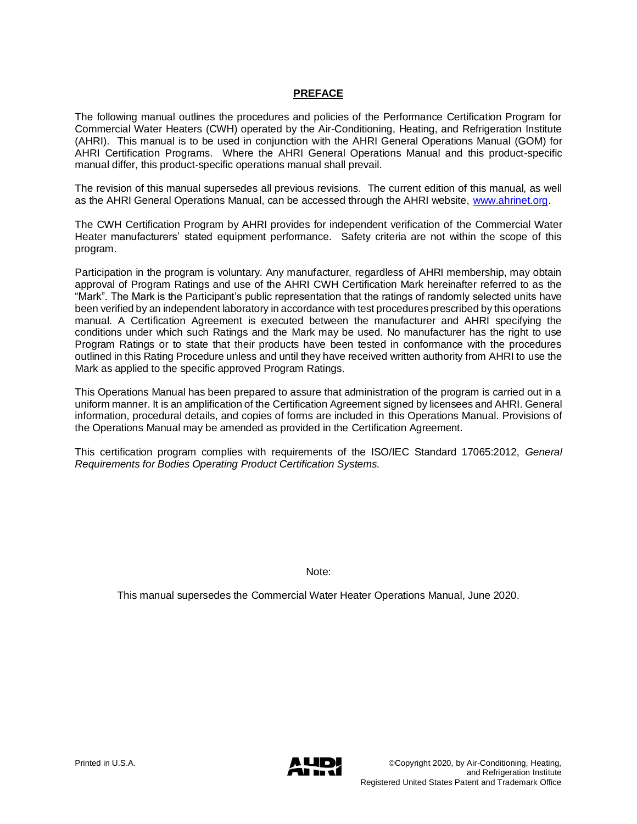# **PREFACE**

The following manual outlines the procedures and policies of the Performance Certification Program for Commercial Water Heaters (CWH) operated by the Air-Conditioning, Heating, and Refrigeration Institute (AHRI). This manual is to be used in conjunction with the AHRI General Operations Manual (GOM) for AHRI Certification Programs. Where the AHRI General Operations Manual and this product-specific manual differ, this product-specific operations manual shall prevail.

The revision of this manual supersedes all previous revisions. The current edition of this manual, as well as the AHRI General Operations Manual, can be accessed through the AHRI website, [www.ahrinet.org.](http://www.ahrinet.org/)

The CWH Certification Program by AHRI provides for independent verification of the Commercial Water Heater manufacturers' stated equipment performance. Safety criteria are not within the scope of this program.

Participation in the program is voluntary. Any manufacturer, regardless of AHRI membership, may obtain approval of Program Ratings and use of the AHRI CWH Certification Mark hereinafter referred to as the "Mark". The Mark is the Participant's public representation that the ratings of randomly selected units have been verified by an independent laboratory in accordance with test procedures prescribed by this operations manual. A Certification Agreement is executed between the manufacturer and AHRI specifying the conditions under which such Ratings and the Mark may be used. No manufacturer has the right to use Program Ratings or to state that their products have been tested in conformance with the procedures outlined in this Rating Procedure unless and until they have received written authority from AHRI to use the Mark as applied to the specific approved Program Ratings.

This Operations Manual has been prepared to assure that administration of the program is carried out in a uniform manner. It is an amplification of the Certification Agreement signed by licensees and AHRI. General information, procedural details, and copies of forms are included in this Operations Manual. Provisions of the Operations Manual may be amended as provided in the Certification Agreement.

This certification program complies with requirements of the ISO/IEC Standard 17065:2012, *General Requirements for Bodies Operating Product Certification Systems.*

Note:

This manual supersedes the Commercial Water Heater Operations Manual, June 2020.

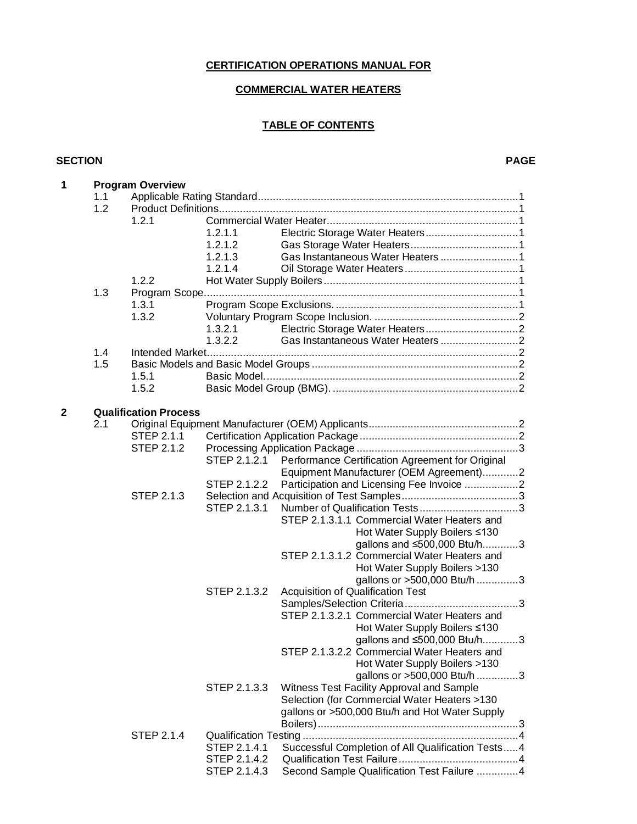# **CERTIFICATION OPERATIONS MANUAL FOR**

# **COMMERCIAL WATER HEATERS**

# **TABLE OF CONTENTS**

#### **SECTION PAGE**

| 1            | <b>Program Overview</b> |                              |              |                                                   |  |  |
|--------------|-------------------------|------------------------------|--------------|---------------------------------------------------|--|--|
|              | 1.1                     |                              |              |                                                   |  |  |
|              | 1.2                     |                              |              |                                                   |  |  |
|              |                         | 1.2.1                        |              |                                                   |  |  |
|              |                         |                              | 1.2.1.1      |                                                   |  |  |
|              |                         |                              | 1.2.1.2      |                                                   |  |  |
|              |                         |                              | 1.2.1.3      |                                                   |  |  |
|              |                         |                              | 1.2.1.4      |                                                   |  |  |
|              |                         | 1.2.2                        |              |                                                   |  |  |
|              | 1.3                     |                              |              |                                                   |  |  |
|              |                         | 1.3.1                        |              |                                                   |  |  |
|              |                         | 1.3.2                        |              |                                                   |  |  |
|              |                         |                              | 1.3.2.1      |                                                   |  |  |
|              |                         |                              | 1.3.2.2      |                                                   |  |  |
|              | 1.4                     |                              |              |                                                   |  |  |
|              | 1.5                     |                              |              |                                                   |  |  |
|              |                         | 1.5.1                        |              |                                                   |  |  |
|              |                         | 1.5.2                        |              |                                                   |  |  |
| $\mathbf{2}$ |                         | <b>Qualification Process</b> |              |                                                   |  |  |
|              | 2.1                     |                              |              |                                                   |  |  |
|              |                         | STEP 2.1.1                   |              |                                                   |  |  |
|              |                         | <b>STEP 2.1.2</b>            |              |                                                   |  |  |
|              |                         |                              | STEP 2.1.2.1 | Performance Certification Agreement for Original  |  |  |
|              |                         |                              |              | Equipment Manufacturer (OEM Agreement)2           |  |  |
|              |                         |                              | STEP 2.1.2.2 | Participation and Licensing Fee Invoice 2         |  |  |
|              |                         | <b>STEP 2.1.3</b>            |              |                                                   |  |  |
|              |                         |                              | STEP 2.1.3.1 |                                                   |  |  |
|              |                         |                              |              | STEP 2.1.3.1.1 Commercial Water Heaters and       |  |  |
|              |                         |                              |              | Hot Water Supply Boilers ≤130                     |  |  |
|              |                         |                              |              | gallons and ≤500,000 Btu/h3                       |  |  |
|              |                         |                              |              | STEP 2.1.3.1.2 Commercial Water Heaters and       |  |  |
|              |                         |                              |              | Hot Water Supply Boilers >130                     |  |  |
|              |                         |                              |              | gallons or >500,000 Btu/h 3                       |  |  |
|              |                         |                              | STEP 2.1.3.2 | Acquisition of Qualification Test                 |  |  |
|              |                         |                              |              |                                                   |  |  |
|              |                         |                              |              | STEP 2.1.3.2.1 Commercial Water Heaters and       |  |  |
|              |                         |                              |              | Hot Water Supply Boilers ≤130                     |  |  |
|              |                         |                              |              | gallons and ≤500,000 Btu/h3                       |  |  |
|              |                         |                              |              | STEP 2.1.3.2.2 Commercial Water Heaters and       |  |  |
|              |                         |                              |              | Hot Water Supply Boilers >130                     |  |  |
|              |                         |                              |              | gallons or >500,000 Btu/h 3                       |  |  |
|              |                         |                              | STEP 2.1.3.3 | Witness Test Facility Approval and Sample         |  |  |
|              |                         |                              |              | Selection (for Commercial Water Heaters >130      |  |  |
|              |                         |                              |              | gallons or >500,000 Btu/h and Hot Water Supply    |  |  |
|              |                         |                              |              |                                                   |  |  |
|              |                         | STEP 2.1.4                   |              |                                                   |  |  |
|              |                         |                              | STEP 2.1.4.1 | Successful Completion of All Qualification Tests4 |  |  |
|              |                         |                              | STEP 2.1.4.2 |                                                   |  |  |
|              |                         |                              | STEP 2.1.4.3 | Second Sample Qualification Test Failure 4        |  |  |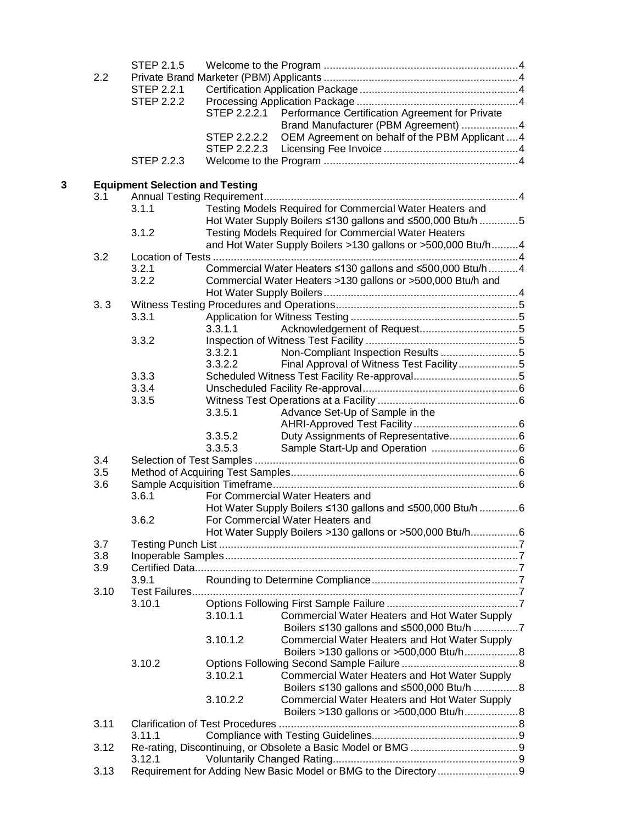|   |      | <b>STEP 2.1.5</b>                      |              |                                                                                          |  |
|---|------|----------------------------------------|--------------|------------------------------------------------------------------------------------------|--|
|   | 2.2  |                                        |              |                                                                                          |  |
|   |      | <b>STEP 2.2.1</b>                      |              |                                                                                          |  |
|   |      | <b>STEP 2.2.2</b>                      |              |                                                                                          |  |
|   |      |                                        | STEP 2.2.2.1 | Performance Certification Agreement for Private                                          |  |
|   |      |                                        |              | Brand Manufacturer (PBM Agreement) 4                                                     |  |
|   |      |                                        | STEP 2.2.2.2 | OEM Agreement on behalf of the PBM Applicant  4                                          |  |
|   |      |                                        | STEP 2.2.2.3 |                                                                                          |  |
|   |      | STEP 2.2.3                             |              |                                                                                          |  |
| 3 |      | <b>Equipment Selection and Testing</b> |              |                                                                                          |  |
|   | 3.1  |                                        |              |                                                                                          |  |
|   |      | 3.1.1                                  |              | Testing Models Required for Commercial Water Heaters and                                 |  |
|   |      |                                        |              | Hot Water Supply Boilers ≤130 gallons and ≤500,000 Btu/h 5                               |  |
|   |      | 3.1.2                                  |              | <b>Testing Models Required for Commercial Water Heaters</b>                              |  |
|   |      |                                        |              | and Hot Water Supply Boilers >130 gallons or >500,000 Btu/h4                             |  |
|   | 3.2  |                                        |              |                                                                                          |  |
|   |      | 3.2.1                                  |              | Commercial Water Heaters ≤130 gallons and ≤500,000 Btu/h 4                               |  |
|   |      | 3.2.2                                  |              | Commercial Water Heaters >130 gallons or >500,000 Btu/h and                              |  |
|   |      |                                        |              |                                                                                          |  |
|   | 3.3  |                                        |              |                                                                                          |  |
|   |      | 3.3.1                                  |              |                                                                                          |  |
|   |      |                                        | 3.3.1.1      |                                                                                          |  |
|   |      | 3.3.2                                  |              |                                                                                          |  |
|   |      |                                        | 3.3.2.1      |                                                                                          |  |
|   |      |                                        | 3.3.2.2      | Final Approval of Witness Test Facility5                                                 |  |
|   |      | 3.3.3                                  |              |                                                                                          |  |
|   |      | 3.3.4                                  |              |                                                                                          |  |
|   |      | 3.3.5                                  | 3.3.5.1      |                                                                                          |  |
|   |      |                                        |              | Advance Set-Up of Sample in the                                                          |  |
|   |      |                                        | 3.3.5.2      |                                                                                          |  |
|   |      |                                        | 3.3.5.3      |                                                                                          |  |
|   | 3.4  |                                        |              |                                                                                          |  |
|   | 3.5  |                                        |              |                                                                                          |  |
|   | 3.6  |                                        |              |                                                                                          |  |
|   |      | 3.6.1                                  |              | For Commercial Water Heaters and                                                         |  |
|   |      |                                        |              | Hot Water Supply Boilers ≤130 gallons and ≤500,000 Btu/h 6                               |  |
|   |      | 3.6.2                                  |              | For Commercial Water Heaters and                                                         |  |
|   |      |                                        |              | Hot Water Supply Boilers >130 gallons or >500,000 Btu/h6                                 |  |
|   | 3.7  |                                        |              |                                                                                          |  |
|   | 3.8  |                                        |              |                                                                                          |  |
|   | 3.9  |                                        |              |                                                                                          |  |
|   |      | 3.9.1                                  |              |                                                                                          |  |
|   | 3.10 |                                        |              |                                                                                          |  |
|   |      | 3.10.1                                 |              |                                                                                          |  |
|   |      |                                        | 3.10.1.1     | Commercial Water Heaters and Hot Water Supply                                            |  |
|   |      |                                        |              | Boilers ≤130 gallons and ≤500,000 Btu/h 7                                                |  |
|   |      |                                        | 3.10.1.2     | Commercial Water Heaters and Hot Water Supply<br>Boilers >130 gallons or >500,000 Btu/h8 |  |
|   |      | 3.10.2                                 |              |                                                                                          |  |
|   |      |                                        | 3.10.2.1     | Commercial Water Heaters and Hot Water Supply                                            |  |
|   |      |                                        |              | Boilers ≤130 gallons and ≤500,000 Btu/h 8                                                |  |
|   |      |                                        | 3.10.2.2     | Commercial Water Heaters and Hot Water Supply                                            |  |
|   |      |                                        |              | Boilers >130 gallons or >500,000 Btu/h8                                                  |  |
|   | 3.11 |                                        |              |                                                                                          |  |
|   |      | 3.11.1                                 |              |                                                                                          |  |
|   | 3.12 |                                        |              |                                                                                          |  |
|   |      | 3.12.1                                 |              |                                                                                          |  |
|   | 3.13 |                                        |              |                                                                                          |  |
|   |      |                                        |              |                                                                                          |  |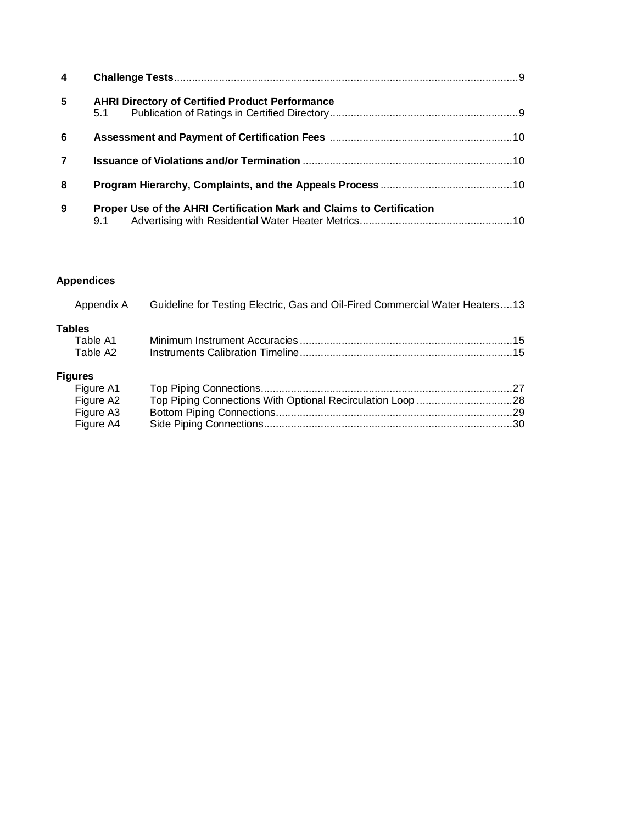| $\overline{\mathbf{4}}$ |                                                                              |  |
|-------------------------|------------------------------------------------------------------------------|--|
| $5\phantom{.0}$         | <b>AHRI Directory of Certified Product Performance</b><br>5.1                |  |
| 6                       |                                                                              |  |
| $\overline{7}$          |                                                                              |  |
| 8                       |                                                                              |  |
| 9                       | Proper Use of the AHRI Certification Mark and Claims to Certification<br>9.1 |  |

# **Appendices**

| Appendix A                | Guideline for Testing Electric, Gas and Oil-Fired Commercial Water Heaters13 |  |
|---------------------------|------------------------------------------------------------------------------|--|
| <b>Tables</b><br>Table A1 |                                                                              |  |
| Table A2                  |                                                                              |  |
| <b>Figures</b>            |                                                                              |  |
| Figure A1                 |                                                                              |  |
| Figure A2                 |                                                                              |  |
| Figure A3                 |                                                                              |  |
| Figure A4                 |                                                                              |  |
|                           |                                                                              |  |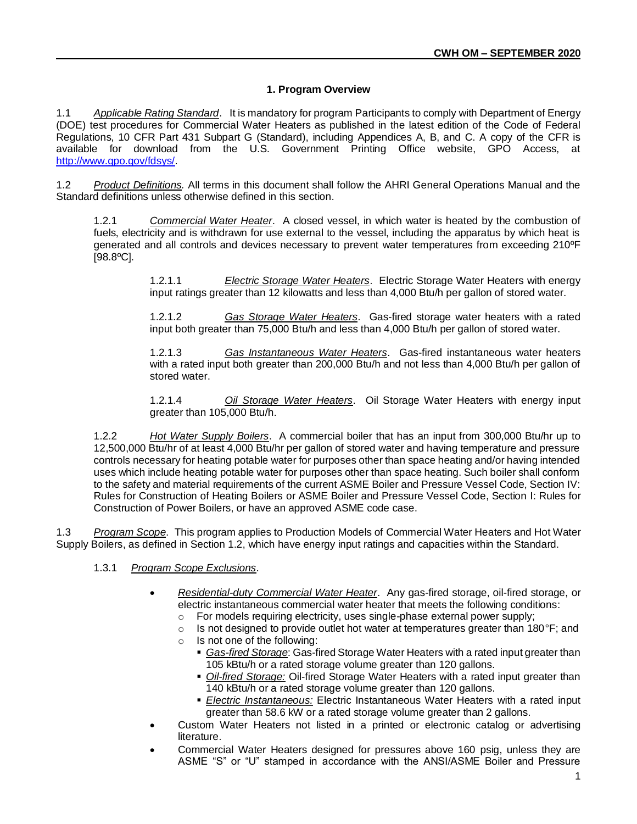# **1. Program Overview**

1.1 *Applicable Rating Standard*. It is mandatory for program Participants to comply with Department of Energy (DOE) test procedures for Commercial Water Heaters as published in the latest edition of the Code of Federal Regulations, 10 CFR Part 431 Subpart G (Standard), including Appendices A, B, and C. A copy of the CFR is available for download from the U.S. Government Printing Office website, GPO Access, at [http://www.gpo.gov/fdsys/.](http://www.gpo.gov/fdsys/)

1.2 *Product Definitions.* All terms in this document shall follow the AHRI General Operations Manual and the Standard definitions unless otherwise defined in this section.

1.2.1 *Commercial Water Heater*. A closed vessel, in which water is heated by the combustion of fuels, electricity and is withdrawn for use external to the vessel, including the apparatus by which heat is generated and all controls and devices necessary to prevent water temperatures from exceeding 210ºF [98.8ºC].

> 1.2.1.1 *Electric Storage Water Heaters*. Electric Storage Water Heaters with energy input ratings greater than 12 kilowatts and less than 4,000 Btu/h per gallon of stored water.

> 1.2.1.2 *Gas Storage Water Heaters*. Gas-fired storage water heaters with a rated input both greater than 75,000 Btu/h and less than 4,000 Btu/h per gallon of stored water.

> 1.2.1.3 *Gas Instantaneous Water Heaters*. Gas-fired instantaneous water heaters with a rated input both greater than 200,000 Btu/h and not less than 4,000 Btu/h per gallon of stored water.

> 1.2.1.4 *Oil Storage Water Heaters*. Oil Storage Water Heaters with energy input greater than 105,000 Btu/h.

1.2.2 *Hot Water Supply Boilers*. A commercial boiler that has an input from 300,000 Btu/hr up to 12,500,000 Btu/hr of at least 4,000 Btu/hr per gallon of stored water and having temperature and pressure controls necessary for heating potable water for purposes other than space heating and/or having intended uses which include heating potable water for purposes other than space heating. Such boiler shall conform to the safety and material requirements of the current ASME Boiler and Pressure Vessel Code, Section IV: Rules for Construction of Heating Boilers or ASME Boiler and Pressure Vessel Code, Section I: Rules for Construction of Power Boilers, or have an approved ASME code case.

1.3 *Program Scope*. This program applies to Production Models of Commercial Water Heaters and Hot Water Supply Boilers, as defined in Section 1.2, which have energy input ratings and capacities within the Standard.

#### 1.3.1 *Program Scope Exclusions*.

- *Residential-duty Commercial Water Heater*. Any gas-fired storage, oil-fired storage, or electric instantaneous commercial water heater that meets the following conditions:
	- o For models requiring electricity, uses single-phase external power supply;
	- $\circ$  Is not designed to provide outlet hot water at temperatures greater than 180°F; and
	- o Is not one of the following:
		- **Eas-fired Storage: Gas-fired Storage Water Heaters with a rated input greater than** 105 kBtu/h or a rated storage volume greater than 120 gallons.
		- *Oil-fired Storage:* Oil-fired Storage Water Heaters with a rated input greater than 140 kBtu/h or a rated storage volume greater than 120 gallons.
		- *Electric Instantaneous:* Electric Instantaneous Water Heaters with a rated input greater than 58.6 kW or a rated storage volume greater than 2 gallons.
- Custom Water Heaters not listed in a printed or electronic catalog or advertising literature.
- Commercial Water Heaters designed for pressures above 160 psig, unless they are ASME "S" or "U" stamped in accordance with the ANSI/ASME Boiler and Pressure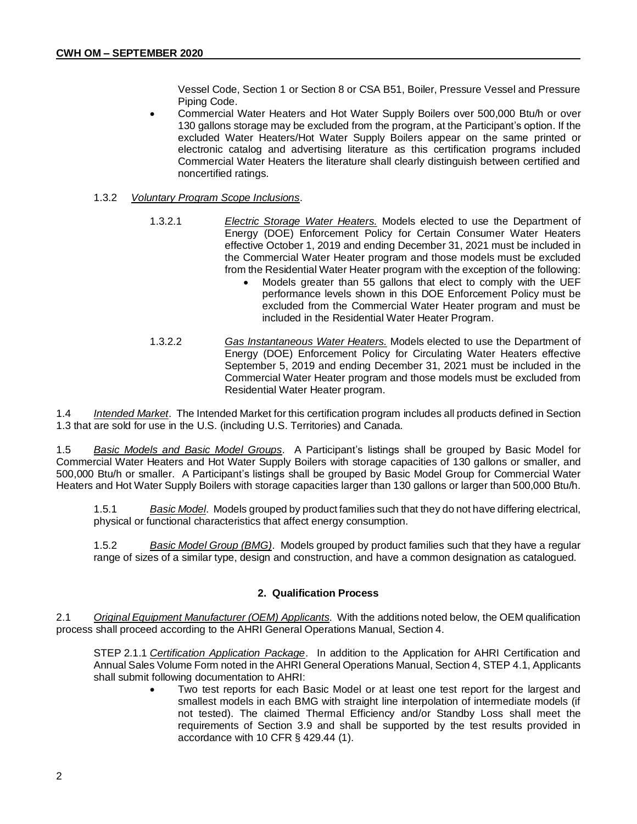Vessel Code, Section 1 or Section 8 or CSA B51, Boiler, Pressure Vessel and Pressure Piping Code.

• Commercial Water Heaters and Hot Water Supply Boilers over 500,000 Btu/h or over 130 gallons storage may be excluded from the program, at the Participant's option. If the excluded Water Heaters/Hot Water Supply Boilers appear on the same printed or electronic catalog and advertising literature as this certification programs included Commercial Water Heaters the literature shall clearly distinguish between certified and noncertified ratings.

#### 1.3.2 *Voluntary Program Scope Inclusions*.

- 1.3.2.1 *Electric Storage Water Heaters.* Models elected to use the Department of Energy (DOE) Enforcement Policy for Certain Consumer Water Heaters effective October 1, 2019 and ending December 31, 2021 must be included in the Commercial Water Heater program and those models must be excluded from the Residential Water Heater program with the exception of the following:
	- Models greater than 55 gallons that elect to comply with the UEF performance levels shown in this DOE Enforcement Policy must be excluded from the Commercial Water Heater program and must be included in the Residential Water Heater Program.
- 1.3.2.2 *Gas Instantaneous Water Heaters.* Models elected to use the Department of Energy (DOE) Enforcement Policy for Circulating Water Heaters effective September 5, 2019 and ending December 31, 2021 must be included in the Commercial Water Heater program and those models must be excluded from Residential Water Heater program.

1.4 *Intended Market*. The Intended Market for this certification program includes all products defined in Section 1.3 that are sold for use in the U.S. (including U.S. Territories) and Canada.

1.5 *Basic Models and Basic Model Groups*. A Participant's listings shall be grouped by Basic Model for Commercial Water Heaters and Hot Water Supply Boilers with storage capacities of 130 gallons or smaller, and 500,000 Btu/h or smaller. A Participant's listings shall be grouped by Basic Model Group for Commercial Water Heaters and Hot Water Supply Boilers with storage capacities larger than 130 gallons or larger than 500,000 Btu/h.

1.5.1 *Basic Model*. Models grouped by product families such that they do not have differing electrical, physical or functional characteristics that affect energy consumption.

1.5.2 *Basic Model Group (BMG)*. Models grouped by product families such that they have a regular range of sizes of a similar type, design and construction, and have a common designation as catalogued.

#### **2. Qualification Process**

2.1 *Original Equipment Manufacturer (OEM) Applicants*. With the additions noted below, the OEM qualification process shall proceed according to the AHRI General Operations Manual, Section 4.

STEP 2.1.1 *Certification Application Package*. In addition to the Application for AHRI Certification and Annual Sales Volume Form noted in the AHRI General Operations Manual, Section 4, STEP 4.1, Applicants shall submit following documentation to AHRI:

Two test reports for each Basic Model or at least one test report for the largest and smallest models in each BMG with straight line interpolation of intermediate models (if not tested). The claimed Thermal Efficiency and/or Standby Loss shall meet the requirements of Section 3.9 and shall be supported by the test results provided in accordance with 10 CFR § 429.44 (1).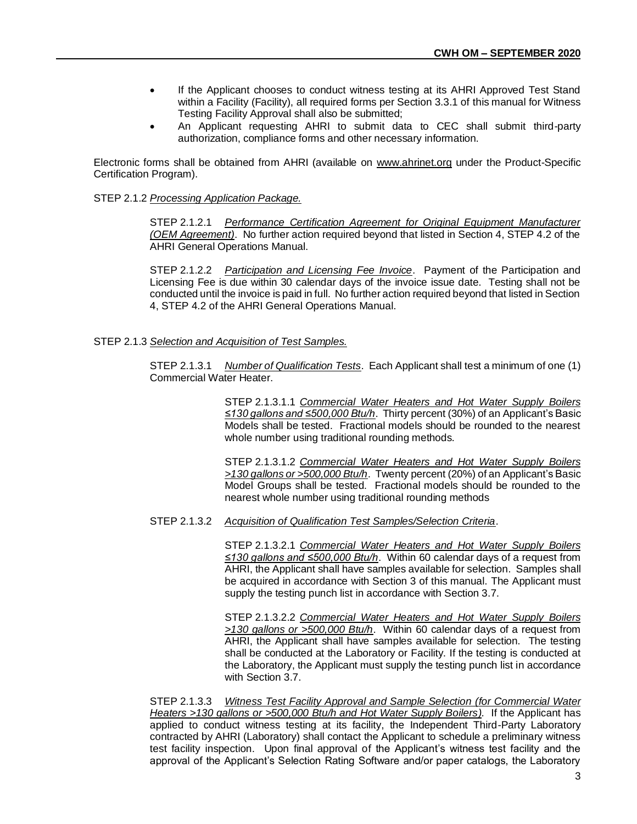- If the Applicant chooses to conduct witness testing at its AHRI Approved Test Stand within a Facility (Facility), all required forms per Section 3.3.1 of this manual for Witness Testing Facility Approval shall also be submitted;
- An Applicant requesting AHRI to submit data to CEC shall submit third-party authorization, compliance forms and other necessary information.

Electronic forms shall be obtained from AHRI (available on [www.ahrinet.org](http://www.ahrinet.org/) under the Product-Specific Certification Program).

#### STEP 2.1.2 *Processing Application Package.*

STEP 2.1.2.1 *Performance Certification Agreement for Original Equipment Manufacturer (OEM Agreement)*. No further action required beyond that listed in Section 4, STEP 4.2 of the AHRI General Operations Manual.

STEP 2.1.2.2 *Participation and Licensing Fee Invoice*. Payment of the Participation and Licensing Fee is due within 30 calendar days of the invoice issue date. Testing shall not be conducted until the invoice is paid in full. No further action required beyond that listed in Section 4, STEP 4.2 of the AHRI General Operations Manual.

#### STEP 2.1.3 *Selection and Acquisition of Test Samples.*

STEP 2.1.3.1 *Number of Qualification Tests*. Each Applicant shall test a minimum of one (1) Commercial Water Heater.

> STEP 2.1.3.1.1 *Commercial Water Heaters and Hot Water Supply Boilers ≤130 gallons and ≤500,000 Btu/h*. Thirty percent (30%) of an Applicant's Basic Models shall be tested. Fractional models should be rounded to the nearest whole number using traditional rounding methods.

> STEP 2.1.3.1.2 *Commercial Water Heaters and Hot Water Supply Boilers >130 gallons or >500,000 Btu/h*. Twenty percent (20%) of an Applicant's Basic Model Groups shall be tested. Fractional models should be rounded to the nearest whole number using traditional rounding methods

STEP 2.1.3.2 *Acquisition of Qualification Test Samples/Selection Criteria*.

STEP 2.1.3.2.1 *Commercial Water Heaters and Hot Water Supply Boilers ≤130 gallons and ≤500,000 Btu/h*. Within 60 calendar days of a request from AHRI, the Applicant shall have samples available for selection. Samples shall be acquired in accordance with Section 3 of this manual. The Applicant must supply the testing punch list in accordance with Section 3.7.

STEP 2.1.3.2.2 *Commercial Water Heaters and Hot Water Supply Boilers >130 gallons or >500,000 Btu/h*. Within 60 calendar days of a request from AHRI, the Applicant shall have samples available for selection. The testing shall be conducted at the Laboratory or Facility. If the testing is conducted at the Laboratory, the Applicant must supply the testing punch list in accordance with Section 3.7.

STEP 2.1.3.3 *Witness Test Facility Approval and Sample Selection (for Commercial Water Heaters >130 gallons or >500,000 Btu/h and Hot Water Supply Boilers).* If the Applicant has applied to conduct witness testing at its facility, the Independent Third-Party Laboratory contracted by AHRI (Laboratory) shall contact the Applicant to schedule a preliminary witness test facility inspection. Upon final approval of the Applicant's witness test facility and the approval of the Applicant's Selection Rating Software and/or paper catalogs, the Laboratory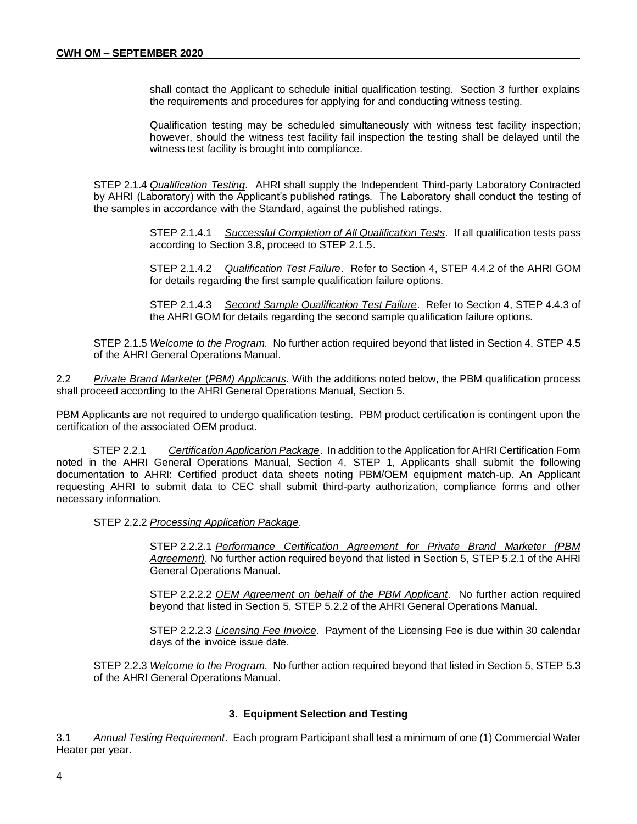shall contact the Applicant to schedule initial qualification testing. Section 3 further explains the requirements and procedures for applying for and conducting witness testing.

Qualification testing may be scheduled simultaneously with witness test facility inspection; however, should the witness test facility fail inspection the testing shall be delayed until the witness test facility is brought into compliance.

STEP 2.1.4 *Qualification Testing*. AHRI shall supply the Independent Third-party Laboratory Contracted by AHRI (Laboratory) with the Applicant's published ratings. The Laboratory shall conduct the testing of the samples in accordance with the Standard, against the published ratings.

> STEP 2.1.4.1 *Successful Completion of All Qualification Tests.* If all qualification tests pass according to Section 3.8, proceed to STEP 2.1.5.

> STEP 2.1.4.2 *Qualification Test Failure*. Refer to Section 4, STEP 4.4.2 of the AHRI GOM for details regarding the first sample qualification failure options.

> STEP 2.1.4.3 *Second Sample Qualification Test Failure*. Refer to Section 4, STEP 4.4.3 of the AHRI GOM for details regarding the second sample qualification failure options.

STEP 2.1.5 *Welcome to the Program*. No further action required beyond that listed in Section 4, STEP 4.5 of the AHRI General Operations Manual.

2.2 *Private Brand Marketer* (*PBM) Applicants*. With the additions noted below, the PBM qualification process shall proceed according to the AHRI General Operations Manual, Section 5.

PBM Applicants are not required to undergo qualification testing. PBM product certification is contingent upon the certification of the associated OEM product.

STEP 2.2.1 *Certification Application Package*. In addition to the Application for AHRI Certification Form noted in the AHRI General Operations Manual, Section 4, STEP 1, Applicants shall submit the following documentation to AHRI: Certified product data sheets noting PBM/OEM equipment match-up. An Applicant requesting AHRI to submit data to CEC shall submit third-party authorization, compliance forms and other necessary information.

STEP 2.2.2 *Processing Application Package*.

STEP 2.2.2.1 *Performance Certification Agreement for Private Brand Marketer (PBM Agreement)*. No further action required beyond that listed in Section 5, STEP 5.2.1 of the AHRI General Operations Manual.

STEP 2.2.2.2 *OEM Agreement on behalf of the PBM Applicant*. No further action required beyond that listed in Section 5, STEP 5.2.2 of the AHRI General Operations Manual.

STEP 2.2.2.3 *Licensing Fee Invoice*. Payment of the Licensing Fee is due within 30 calendar days of the invoice issue date.

STEP 2.2.3 *Welcome to the Program*. No further action required beyond that listed in Section 5, STEP 5.3 of the AHRI General Operations Manual.

#### **3. Equipment Selection and Testing**

3.1 *Annual Testing Requirement.* Each program Participant shall test a minimum of one (1) Commercial Water Heater per year.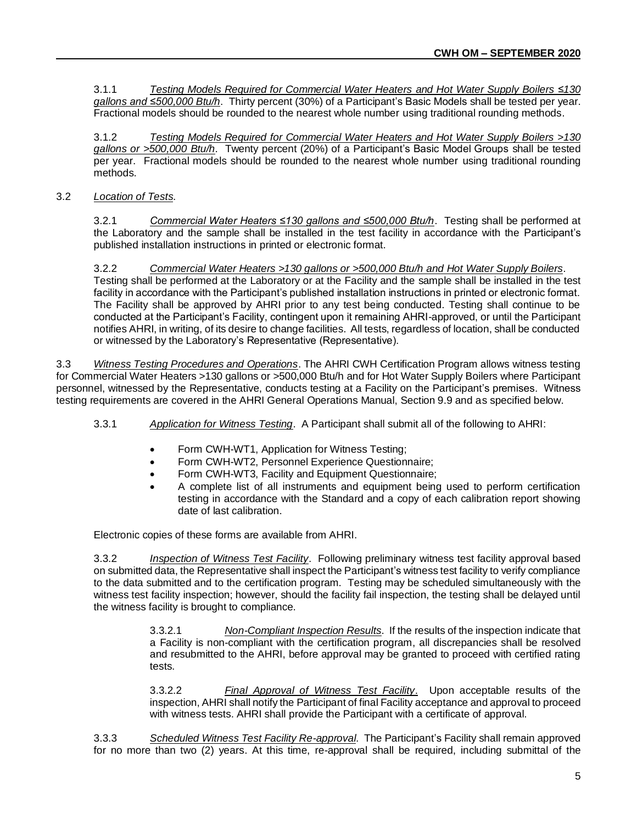3.1.1 *Testing Models Required for Commercial Water Heaters and Hot Water Supply Boilers ≤130 gallons and ≤500,000 Btu/h*. Thirty percent (30%) of a Participant's Basic Models shall be tested per year. Fractional models should be rounded to the nearest whole number using traditional rounding methods.

3.1.2 *Testing Models Required for Commercial Water Heaters and Hot Water Supply Boilers >130 gallons or >500,000 Btu/h*. Twenty percent (20%) of a Participant's Basic Model Groups shall be tested per year. Fractional models should be rounded to the nearest whole number using traditional rounding methods.

# 3.2 *Location of Tests*.

3.2.1 *Commercial Water Heaters ≤130 gallons and ≤500,000 Btu/h*. Testing shall be performed at the Laboratory and the sample shall be installed in the test facility in accordance with the Participant's published installation instructions in printed or electronic format.

3.2.2 *Commercial Water Heaters >130 gallons or >500,000 Btu/h and Hot Water Supply Boilers*. Testing shall be performed at the Laboratory or at the Facility and the sample shall be installed in the test facility in accordance with the Participant's published installation instructions in printed or electronic format. The Facility shall be approved by AHRI prior to any test being conducted. Testing shall continue to be conducted at the Participant's Facility, contingent upon it remaining AHRI-approved, or until the Participant notifies AHRI, in writing, of its desire to change facilities. All tests, regardless of location, shall be conducted or witnessed by the Laboratory's Representative (Representative).

3.3 *Witness Testing Procedures and Operations*. The AHRI CWH Certification Program allows witness testing for Commercial Water Heaters >130 gallons or >500,000 Btu/h and for Hot Water Supply Boilers where Participant personnel, witnessed by the Representative, conducts testing at a Facility on the Participant's premises. Witness testing requirements are covered in the AHRI General Operations Manual, Section 9.9 and as specified below.

- 3.3.1 *Application for Witness Testing*. A Participant shall submit all of the following to AHRI:
	- Form CWH-WT1, Application for Witness Testing;
	- Form CWH-WT2, Personnel Experience Questionnaire;
	- Form CWH-WT3, Facility and Equipment Questionnaire;
	- A complete list of all instruments and equipment being used to perform certification testing in accordance with the Standard and a copy of each calibration report showing date of last calibration.

Electronic copies of these forms are available from AHRI.

3.3.2 *Inspection of Witness Test Facility*. Following preliminary witness test facility approval based on submitted data, the Representative shall inspect the Participant's witness test facility to verify compliance to the data submitted and to the certification program. Testing may be scheduled simultaneously with the witness test facility inspection; however, should the facility fail inspection, the testing shall be delayed until the witness facility is brought to compliance.

> 3.3.2.1 *Non-Compliant Inspection Results*. If the results of the inspection indicate that a Facility is non-compliant with the certification program, all discrepancies shall be resolved and resubmitted to the AHRI, before approval may be granted to proceed with certified rating tests.

> 3.3.2.2 *Final Approval of Witness Test Facility*. Upon acceptable results of the inspection, AHRI shall notify the Participant of final Facility acceptance and approval to proceed with witness tests. AHRI shall provide the Participant with a certificate of approval.

3.3.3 *Scheduled Witness Test Facility Re-approval*. The Participant's Facility shall remain approved for no more than two (2) years. At this time, re-approval shall be required, including submittal of the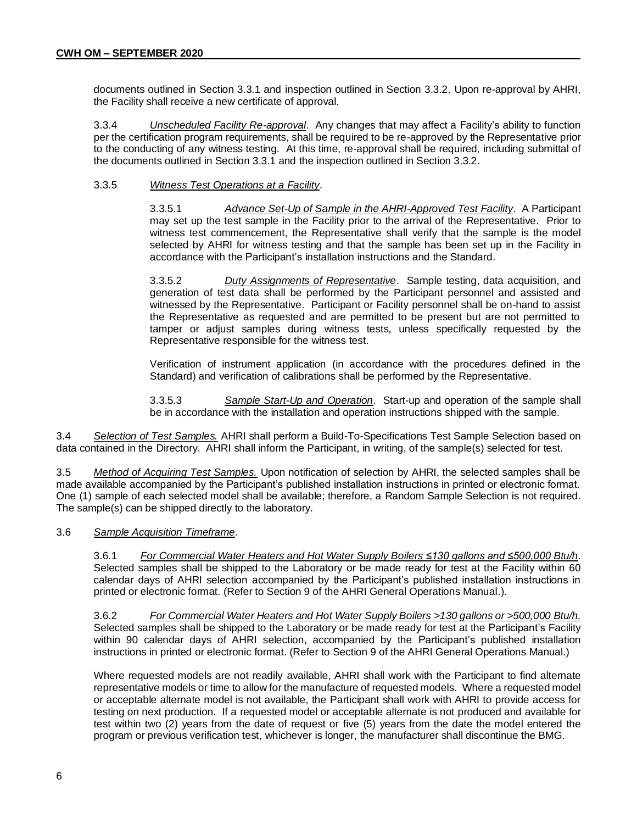documents outlined in Section 3.3.1 and inspection outlined in Section 3.3.2. Upon re-approval by AHRI, the Facility shall receive a new certificate of approval.

3.3.4 *Unscheduled Facility Re-approval*. Any changes that may affect a Facility's ability to function per the certification program requirements, shall be required to be re-approved by the Representative prior to the conducting of any witness testing. At this time, re-approval shall be required, including submittal of the documents outlined in Section 3.3.1 and the inspection outlined in Section 3.3.2.

#### 3.3.5 *Witness Test Operations at a Facility*.

3.3.5.1 *Advance Set-Up of Sample in the AHRI-Approved Test Facility*. A Participant may set up the test sample in the Facility prior to the arrival of the Representative. Prior to witness test commencement, the Representative shall verify that the sample is the model selected by AHRI for witness testing and that the sample has been set up in the Facility in accordance with the Participant's installation instructions and the Standard.

3.3.5.2 *Duty Assignments of Representative*. Sample testing, data acquisition, and generation of test data shall be performed by the Participant personnel and assisted and witnessed by the Representative. Participant or Facility personnel shall be on-hand to assist the Representative as requested and are permitted to be present but are not permitted to tamper or adjust samples during witness tests, unless specifically requested by the Representative responsible for the witness test.

Verification of instrument application (in accordance with the procedures defined in the Standard) and verification of calibrations shall be performed by the Representative.

3.3.5.3 *Sample Start-Up and Operation*. Start-up and operation of the sample shall be in accordance with the installation and operation instructions shipped with the sample.

3.4 *Selection of Test Samples.* AHRI shall perform a Build-To-Specifications Test Sample Selection based on data contained in the Directory. AHRI shall inform the Participant, in writing, of the sample(s) selected for test.

3.5 *Method of Acquiring Test Samples.* Upon notification of selection by AHRI, the selected samples shall be made available accompanied by the Participant's published installation instructions in printed or electronic format. One (1) sample of each selected model shall be available; therefore, a Random Sample Selection is not required. The sample(s) can be shipped directly to the laboratory.

#### 3.6 *Sample Acquisition Timeframe*.

3.6.1 *For Commercial Water Heaters and Hot Water Supply Boilers ≤130 gallons and ≤500,000 Btu/h*. Selected samples shall be shipped to the Laboratory or be made ready for test at the Facility within 60 calendar days of AHRI selection accompanied by the Participant's published installation instructions in printed or electronic format. (Refer to Section 9 of the AHRI General Operations Manual.).

3.6.2 *For Commercial Water Heaters and Hot Water Supply Boilers >130 gallons or >500,000 Btu/h.* Selected samples shall be shipped to the Laboratory or be made ready for test at the Participant's Facility within 90 calendar days of AHRI selection, accompanied by the Participant's published installation instructions in printed or electronic format. (Refer to Section 9 of the AHRI General Operations Manual.)

Where requested models are not readily available, AHRI shall work with the Participant to find alternate representative models or time to allow for the manufacture of requested models. Where a requested model or acceptable alternate model is not available, the Participant shall work with AHRI to provide access for testing on next production. If a requested model or acceptable alternate is not produced and available for test within two (2) years from the date of request or five (5) years from the date the model entered the program or previous verification test, whichever is longer, the manufacturer shall discontinue the BMG.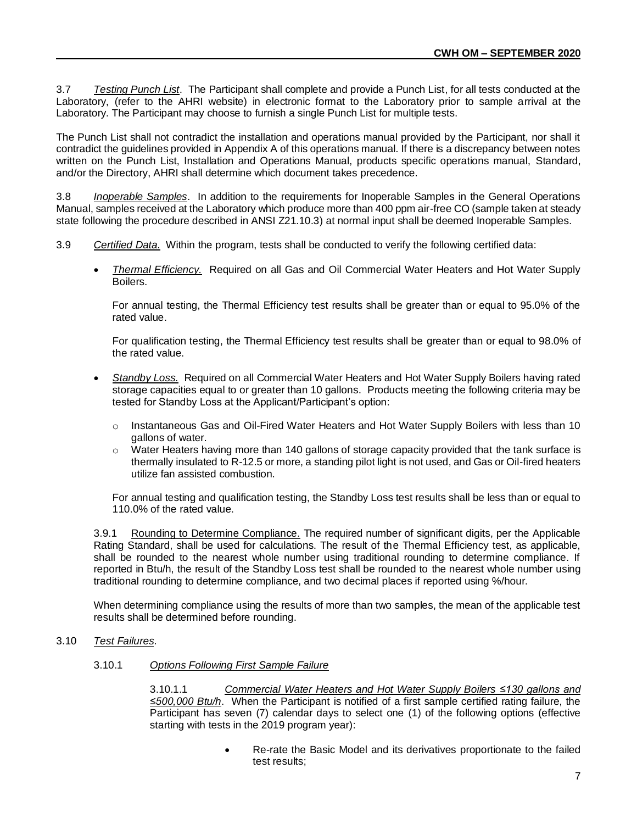3.7 *Testing Punch List*. The Participant shall complete and provide a Punch List, for all tests conducted at the Laboratory, (refer to the AHRI website) in electronic format to the Laboratory prior to sample arrival at the Laboratory. The Participant may choose to furnish a single Punch List for multiple tests.

The Punch List shall not contradict the installation and operations manual provided by the Participant, nor shall it contradict the guidelines provided in Appendix A of this operations manual. If there is a discrepancy between notes written on the Punch List, Installation and Operations Manual, products specific operations manual, Standard, and/or the Directory, AHRI shall determine which document takes precedence.

3.8 *Inoperable Samples*. In addition to the requirements for Inoperable Samples in the General Operations Manual, samples received at the Laboratory which produce more than 400 ppm air-free CO (sample taken at steady state following the procedure described in ANSI Z21.10.3) at normal input shall be deemed Inoperable Samples.

- 3.9 *Certified Data.* Within the program, tests shall be conducted to verify the following certified data:
	- *Thermal Efficiency.* Required on all Gas and Oil Commercial Water Heaters and Hot Water Supply **Boilers**

For annual testing, the Thermal Efficiency test results shall be greater than or equal to 95.0% of the rated value.

For qualification testing, the Thermal Efficiency test results shall be greater than or equal to 98.0% of the rated value.

- *Standby Loss.* Required on all Commercial Water Heaters and Hot Water Supply Boilers having rated storage capacities equal to or greater than 10 gallons. Products meeting the following criteria may be tested for Standby Loss at the Applicant/Participant's option:
	- $\circ$  Instantaneous Gas and Oil-Fired Water Heaters and Hot Water Supply Boilers with less than 10 gallons of water.
	- $\circ$  Water Heaters having more than 140 gallons of storage capacity provided that the tank surface is thermally insulated to R-12.5 or more, a standing pilot light is not used, and Gas or Oil-fired heaters utilize fan assisted combustion.

For annual testing and qualification testing, the Standby Loss test results shall be less than or equal to 110.0% of the rated value.

3.9.1 Rounding to Determine Compliance. The required number of significant digits, per the Applicable Rating Standard, shall be used for calculations. The result of the Thermal Efficiency test, as applicable, shall be rounded to the nearest whole number using traditional rounding to determine compliance. If reported in Btu/h, the result of the Standby Loss test shall be rounded to the nearest whole number using traditional rounding to determine compliance, and two decimal places if reported using %/hour.

When determining compliance using the results of more than two samples, the mean of the applicable test results shall be determined before rounding.

# 3.10 *Test Failures*.

#### 3.10.1 *Options Following First Sample Failure*

3.10.1.1 *Commercial Water Heaters and Hot Water Supply Boilers ≤130 gallons and ≤500,000 Btu/h*. When the Participant is notified of a first sample certified rating failure, the Participant has seven (7) calendar days to select one (1) of the following options (effective starting with tests in the 2019 program year):

> • Re-rate the Basic Model and its derivatives proportionate to the failed test results;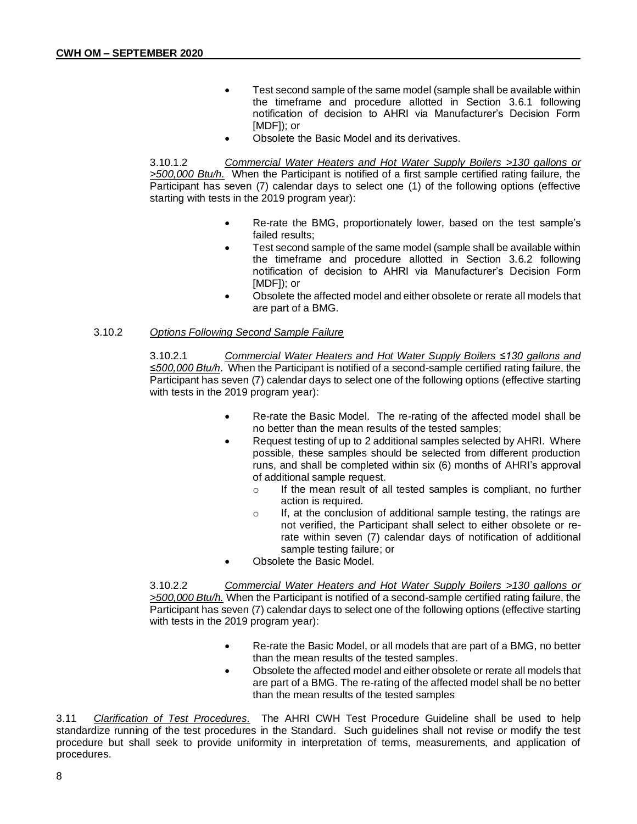- Test second sample of the same model (sample shall be available within the timeframe and procedure allotted in Section 3.6.1 following notification of decision to AHRI via Manufacturer's Decision Form [MDF]); or
- Obsolete the Basic Model and its derivatives.

3.10.1.2 *Commercial Water Heaters and Hot Water Supply Boilers >130 gallons or >500,000 Btu/h.* When the Participant is notified of a first sample certified rating failure, the Participant has seven (7) calendar days to select one (1) of the following options (effective starting with tests in the 2019 program year):

- Re-rate the BMG, proportionately lower, based on the test sample's failed results;
- Test second sample of the same model (sample shall be available within the timeframe and procedure allotted in Section 3.6.2 following notification of decision to AHRI via Manufacturer's Decision Form [MDF]); or
- Obsolete the affected model and either obsolete or rerate all models that are part of a BMG.

## 3.10.2 *Options Following Second Sample Failure*

3.10.2.1 *Commercial Water Heaters and Hot Water Supply Boilers ≤130 gallons and ≤500,000 Btu/h*. When the Participant is notified of a second-sample certified rating failure, the Participant has seven (7) calendar days to select one of the following options (effective starting with tests in the 2019 program year):

- Re-rate the Basic Model. The re-rating of the affected model shall be no better than the mean results of the tested samples;
- Request testing of up to 2 additional samples selected by AHRI. Where possible, these samples should be selected from different production runs, and shall be completed within six (6) months of AHRI's approval of additional sample request.
	- o If the mean result of all tested samples is compliant, no further action is required.
	- o If, at the conclusion of additional sample testing, the ratings are not verified, the Participant shall select to either obsolete or rerate within seven (7) calendar days of notification of additional sample testing failure; or
- Obsolete the Basic Model.

3.10.2.2 *Commercial Water Heaters and Hot Water Supply Boilers >130 gallons or >500,000 Btu/h.* When the Participant is notified of a second-sample certified rating failure, the Participant has seven (7) calendar days to select one of the following options (effective starting with tests in the 2019 program year):

- Re-rate the Basic Model, or all models that are part of a BMG, no better than the mean results of the tested samples.
- Obsolete the affected model and either obsolete or rerate all models that are part of a BMG. The re-rating of the affected model shall be no better than the mean results of the tested samples

3.11 *Clarification of Test Procedures.* The AHRI CWH Test Procedure Guideline shall be used to help standardize running of the test procedures in the Standard. Such guidelines shall not revise or modify the test procedure but shall seek to provide uniformity in interpretation of terms, measurements, and application of procedures.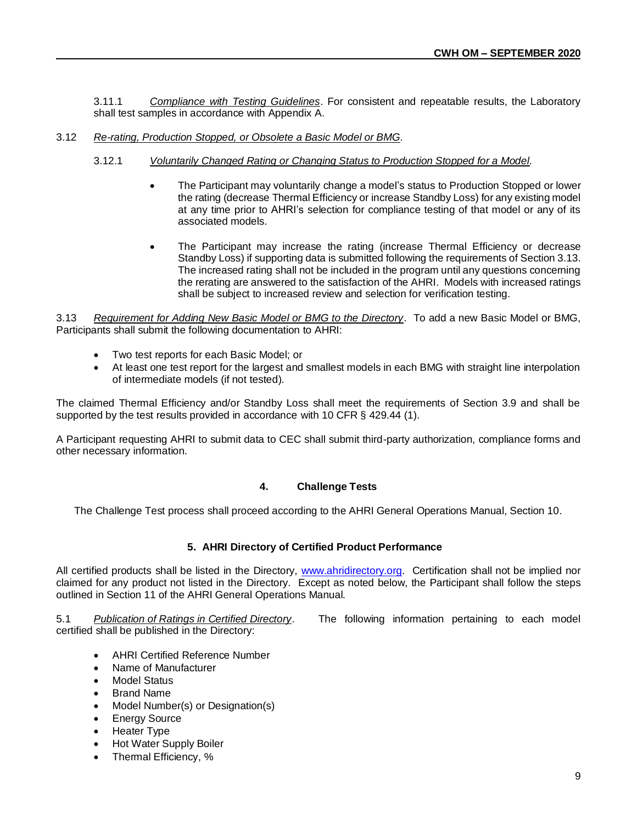3.11.1 *Compliance with Testing Guidelines*. For consistent and repeatable results, the Laboratory shall test samples in accordance with Appendix A.

- 3.12 *Re-rating, Production Stopped, or Obsolete a Basic Model or BMG.*
	- 3.12.1 *Voluntarily Changed Rating or Changing Status to Production Stopped for a Model.*
		- The Participant may voluntarily change a model's status to Production Stopped or lower the rating (decrease Thermal Efficiency or increase Standby Loss) for any existing model at any time prior to AHRI's selection for compliance testing of that model or any of its associated models.
		- The Participant may increase the rating (increase Thermal Efficiency or decrease Standby Loss) if supporting data is submitted following the requirements of Section 3.13. The increased rating shall not be included in the program until any questions concerning the rerating are answered to the satisfaction of the AHRI. Models with increased ratings shall be subject to increased review and selection for verification testing.

3.13 *Requirement for Adding New Basic Model or BMG to the Directory*. To add a new Basic Model or BMG, Participants shall submit the following documentation to AHRI:

- Two test reports for each Basic Model; or
- At least one test report for the largest and smallest models in each BMG with straight line interpolation of intermediate models (if not tested).

The claimed Thermal Efficiency and/or Standby Loss shall meet the requirements of Section 3.9 and shall be supported by the test results provided in accordance with 10 CFR § 429.44 (1).

A Participant requesting AHRI to submit data to CEC shall submit third-party authorization, compliance forms and other necessary information.

# **4. Challenge Tests**

The Challenge Test process shall proceed according to the AHRI General Operations Manual, Section 10.

# **5. AHRI Directory of Certified Product Performance**

All certified products shall be listed in the Directory, [www.ahridirectory.org.](http://www.ahridirectory.org/) Certification shall not be implied nor claimed for any product not listed in the Directory. Except as noted below, the Participant shall follow the steps outlined in Section 11 of the AHRI General Operations Manual.

certified shall be published in the Directory:

5.1 *Publication of Ratings in Certified Directory*. The following information pertaining to each model

- AHRI Certified Reference Number
- Name of Manufacturer
- **Model Status**
- **Brand Name**
- Model Number(s) or Designation(s)
- Energy Source
- Heater Type
- Hot Water Supply Boiler
- Thermal Efficiency, %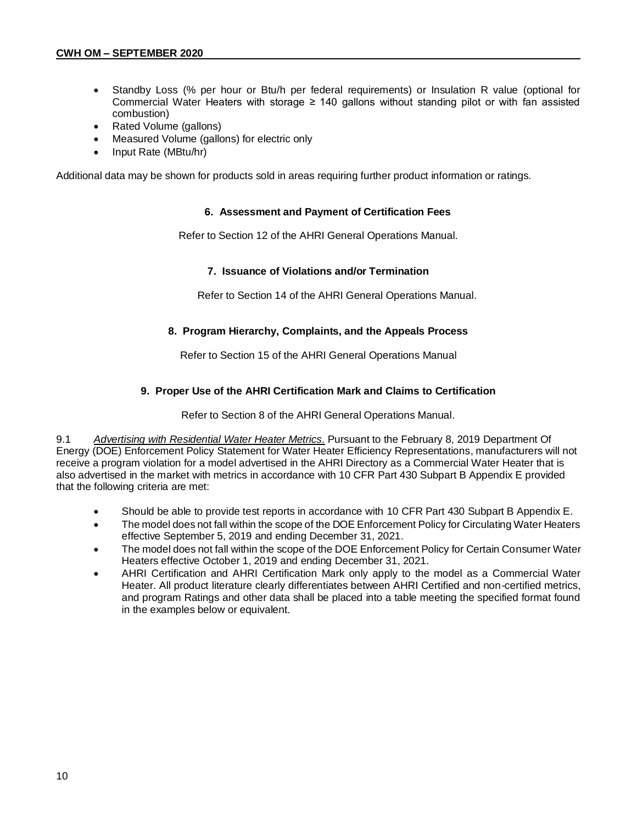- Standby Loss (% per hour or Btu/h per federal requirements) or Insulation R value (optional for Commercial Water Heaters with storage ≥ 140 gallons without standing pilot or with fan assisted combustion)
- Rated Volume (gallons)
- Measured Volume (gallons) for electric only
- Input Rate (MBtu/hr)

Additional data may be shown for products sold in areas requiring further product information or ratings.

#### **6. Assessment and Payment of Certification Fees**

Refer to Section 12 of the AHRI General Operations Manual.

#### **7. Issuance of Violations and/or Termination**

Refer to Section 14 of the AHRI General Operations Manual.

## **8. Program Hierarchy, Complaints, and the Appeals Process**

Refer to Section 15 of the AHRI General Operations Manual

## **9. Proper Use of the AHRI Certification Mark and Claims to Certification**

Refer to Section 8 of the AHRI General Operations Manual.

9.1 *Advertising with Residential Water Heater Metrics.* Pursuant to the February 8, 2019 Department Of Energy (DOE) Enforcement Policy Statement for Water Heater Efficiency Representations, manufacturers will not receive a program violation for a model advertised in the AHRI Directory as a Commercial Water Heater that is also advertised in the market with metrics in accordance with 10 CFR Part 430 Subpart B Appendix E provided that the following criteria are met:

- Should be able to provide test reports in accordance with 10 CFR Part 430 Subpart B Appendix E.
- The model does not fall within the scope of the DOE Enforcement Policy for Circulating Water Heaters effective September 5, 2019 and ending December 31, 2021.
- The model does not fall within the scope of the DOE Enforcement Policy for Certain Consumer Water Heaters effective October 1, 2019 and ending December 31, 2021.
- AHRI Certification and AHRI Certification Mark only apply to the model as a Commercial Water Heater. All product literature clearly differentiates between AHRI Certified and non-certified metrics, and program Ratings and other data shall be placed into a table meeting the specified format found in the examples below or equivalent.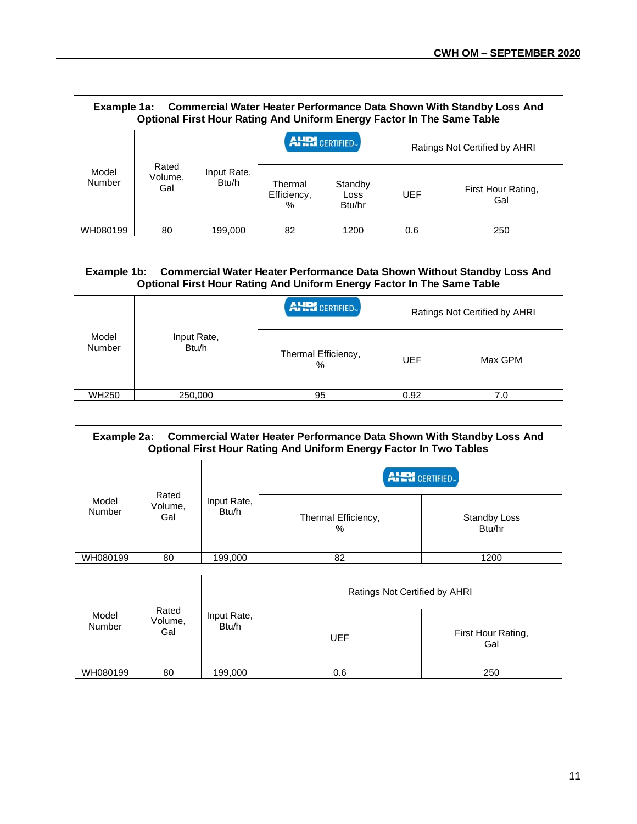| Example 1a: Commercial Water Heater Performance Data Shown With Standby Loss And<br>Optional First Hour Rating And Uniform Energy Factor In The Same Table |                         |                      |                                |                           |                               |                           |
|------------------------------------------------------------------------------------------------------------------------------------------------------------|-------------------------|----------------------|--------------------------------|---------------------------|-------------------------------|---------------------------|
|                                                                                                                                                            |                         |                      | <b>AHRI</b> CERTIFIED.         |                           | Ratings Not Certified by AHRI |                           |
| Model<br>Number                                                                                                                                            | Rated<br>Volume,<br>Gal | Input Rate,<br>Btu/h | Thermal<br>Efficiency,<br>$\%$ | Standby<br>Loss<br>Btu/hr | UEF                           | First Hour Rating,<br>Gal |
| WH080199                                                                                                                                                   | 80                      | 199.000              | 82                             | 1200                      | 0.6                           | 250                       |

| <b>Commercial Water Heater Performance Data Shown Without Standby Loss And</b><br>Example 1b:<br><b>Optional First Hour Rating And Uniform Energy Factor In The Same Table</b> |                      |                          |                               |         |  |
|--------------------------------------------------------------------------------------------------------------------------------------------------------------------------------|----------------------|--------------------------|-------------------------------|---------|--|
|                                                                                                                                                                                |                      | <b>AHRI</b> CERTIFIED.   | Ratings Not Certified by AHRI |         |  |
| Model<br>Number                                                                                                                                                                | Input Rate,<br>Btu/h | Thermal Efficiency,<br>% | UEF                           | Max GPM |  |
| WH <sub>250</sub>                                                                                                                                                              | 250,000              | 95                       | 0.92                          | 7.0     |  |

| Example 2a: Commercial Water Heater Performance Data Shown With Standby Loss And<br><b>Optional First Hour Rating And Uniform Energy Factor In Two Tables</b> |                         |                      |                               |                           |  |
|---------------------------------------------------------------------------------------------------------------------------------------------------------------|-------------------------|----------------------|-------------------------------|---------------------------|--|
|                                                                                                                                                               |                         |                      | <b>AHRI</b> CERTIFIED         |                           |  |
| Model<br><b>Number</b>                                                                                                                                        | Rated<br>Volume,<br>Gal | Input Rate,<br>Btu/h | Thermal Efficiency,<br>$\%$   | Standby Loss<br>Btu/hr    |  |
| WH080199                                                                                                                                                      | 80                      | 199,000              | 82                            | 1200                      |  |
|                                                                                                                                                               |                         |                      |                               |                           |  |
|                                                                                                                                                               |                         |                      | Ratings Not Certified by AHRI |                           |  |
| Model<br>Number                                                                                                                                               | Rated<br>Volume,<br>Gal | Input Rate,<br>Btu/h | UEF                           | First Hour Rating,<br>Gal |  |
| WH080199                                                                                                                                                      | 80                      | 199,000              | 0.6                           | 250                       |  |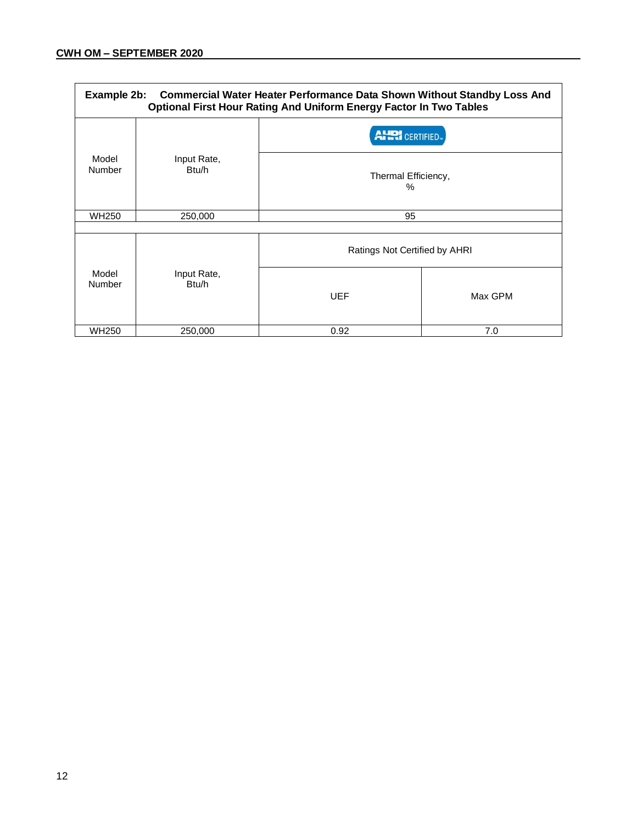| Example 2b: Commercial Water Heater Performance Data Shown Without Standby Loss And<br><b>Optional First Hour Rating And Uniform Energy Factor In Two Tables</b> |                      |                                                    |         |  |
|------------------------------------------------------------------------------------------------------------------------------------------------------------------|----------------------|----------------------------------------------------|---------|--|
| Model<br>Number                                                                                                                                                  | Input Rate,<br>Btu/h | <b>AHRI</b> CERTIFIED.<br>Thermal Efficiency,<br>℅ |         |  |
| <b>WH250</b>                                                                                                                                                     | 250,000              | 95                                                 |         |  |
| Model<br>Number                                                                                                                                                  | Input Rate,<br>Btu/h | Ratings Not Certified by AHRI<br><b>UEF</b>        | Max GPM |  |
| <b>WH250</b>                                                                                                                                                     | 250,000              | 0.92                                               | 7.0     |  |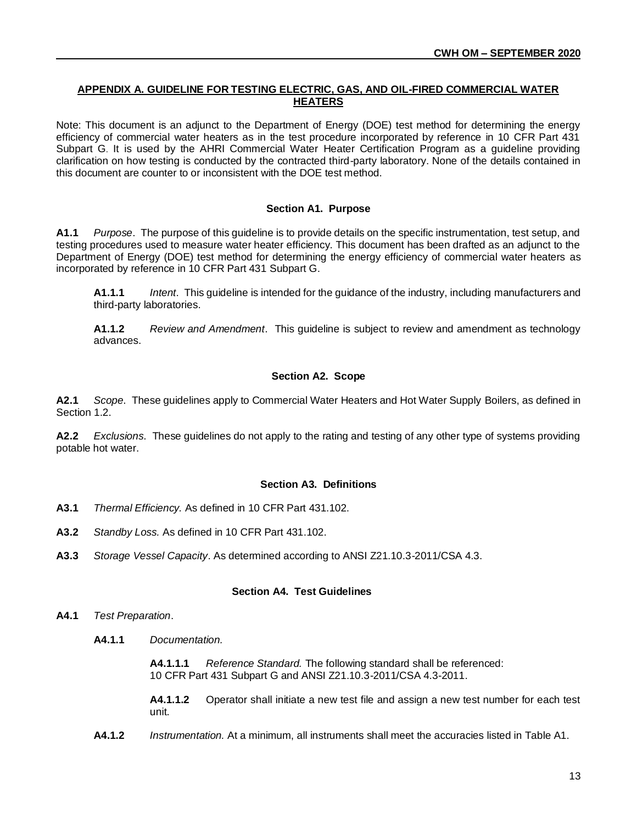# **APPENDIX A. GUIDELINE FOR TESTING ELECTRIC, GAS, AND OIL-FIRED COMMERCIAL WATER HEATERS**

Note: This document is an adjunct to the Department of Energy (DOE) test method for determining the energy efficiency of commercial water heaters as in the test procedure incorporated by reference in 10 CFR Part 431 Subpart G. It is used by the AHRI Commercial Water Heater Certification Program as a guideline providing clarification on how testing is conducted by the contracted third-party laboratory. None of the details contained in this document are counter to or inconsistent with the DOE test method.

## **Section A1. Purpose**

**A1.1** *Purpose*. The purpose of this guideline is to provide details on the specific instrumentation, test setup, and testing procedures used to measure water heater efficiency. This document has been drafted as an adjunct to the Department of Energy (DOE) test method for determining the energy efficiency of commercial water heaters as incorporated by reference in 10 CFR Part 431 Subpart G.

**A1.1.1** *Intent*. This guideline is intended for the guidance of the industry, including manufacturers and third-party laboratories.

**A1.1.2** *Review and Amendment*. This guideline is subject to review and amendment as technology advances.

## **Section A2. Scope**

**A2.1** *Scope*. These guidelines apply to Commercial Water Heaters and Hot Water Supply Boilers, as defined in Section 1.2.

**A2.2** *Exclusions*. These guidelines do not apply to the rating and testing of any other type of systems providing potable hot water.

# **Section A3. Definitions**

- **A3.1** *Thermal Efficiency.* As defined in 10 CFR Part 431.102.
- **A3.2** *Standby Loss.* As defined in 10 CFR Part 431.102.
- **A3.3** *Storage Vessel Capacity*. As determined according to ANSI Z21.10.3-2011/CSA 4.3.

#### **Section A4. Test Guidelines**

- **A4.1** *Test Preparation*.
	- **A4.1.1** *Documentation.*

**A4.1.1.1** *Reference Standard.* The following standard shall be referenced: 10 CFR Part 431 Subpart G and ANSI Z21.10.3-2011/CSA 4.3-2011.

**A4.1.1.2** Operator shall initiate a new test file and assign a new test number for each test unit.

**A4.1.2** *Instrumentation.* At a minimum, all instruments shall meet the accuracies listed in Table A1.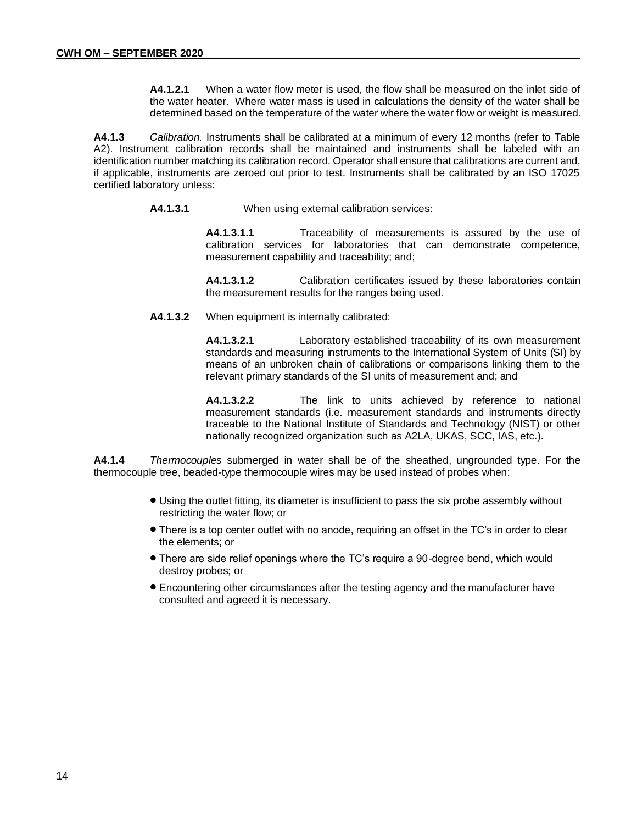**A4.1.2.1** When a water flow meter is used, the flow shall be measured on the inlet side of the water heater. Where water mass is used in calculations the density of the water shall be determined based on the temperature of the water where the water flow or weight is measured.

**A4.1.3** *Calibration.* Instruments shall be calibrated at a minimum of every 12 months (refer to Table A2). Instrument calibration records shall be maintained and instruments shall be labeled with an identification number matching its calibration record. Operator shall ensure that calibrations are current and, if applicable, instruments are zeroed out prior to test. Instruments shall be calibrated by an ISO 17025 certified laboratory unless:

**A4.1.3.1** When using external calibration services:

**A4.1.3.1.1** Traceability of measurements is assured by the use of calibration services for laboratories that can demonstrate competence, measurement capability and traceability; and;

**A4.1.3.1.2** Calibration certificates issued by these laboratories contain the measurement results for the ranges being used.

**A4.1.3.2** When equipment is internally calibrated:

**A4.1.3.2.1** Laboratory established traceability of its own measurement standards and measuring instruments to the International System of Units (SI) by means of an unbroken chain of calibrations or comparisons linking them to the relevant primary standards of the SI units of measurement and; and

**A4.1.3.2.2** The link to units achieved by reference to national measurement standards (i.e. measurement standards and instruments directly traceable to the National Institute of Standards and Technology (NIST) or other nationally recognized organization such as A2LA, UKAS, SCC, IAS, etc.).

**A4.1.4** *Thermocouples* submerged in water shall be of the sheathed, ungrounded type. For the thermocouple tree, beaded-type thermocouple wires may be used instead of probes when:

- Using the outlet fitting, its diameter is insufficient to pass the six probe assembly without restricting the water flow; or
- There is a top center outlet with no anode, requiring an offset in the TC's in order to clear the elements; or
- There are side relief openings where the TC's require a 90-degree bend, which would destroy probes; or
- Encountering other circumstances after the testing agency and the manufacturer have consulted and agreed it is necessary.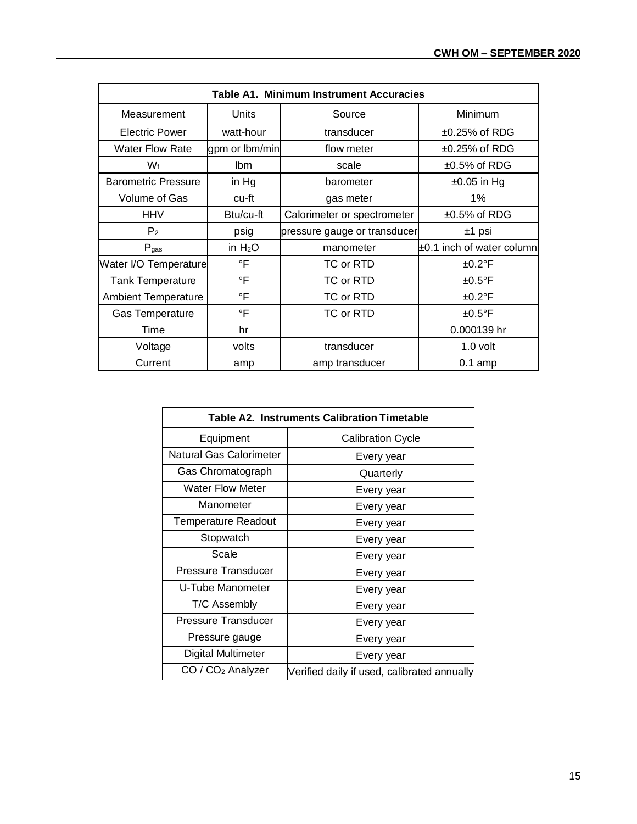| Table A1. Minimum Instrument Accuracies |                |                              |                           |  |
|-----------------------------------------|----------------|------------------------------|---------------------------|--|
| Measurement                             | Units          | Source                       | Minimum                   |  |
| Electric Power                          | watt-hour      | transducer                   | $±0.25\%$ of RDG          |  |
| <b>Water Flow Rate</b>                  | gpm or lbm/min | flow meter                   | $±0.25\%$ of RDG          |  |
| Wf                                      | lbm            | scale                        | $±0.5\%$ of RDG           |  |
| <b>Barometric Pressure</b>              | in Hg          | barometer                    | $\pm 0.05$ in Hg          |  |
| Volume of Gas                           | cu-ft          | gas meter                    | 1%                        |  |
| <b>HHV</b>                              | Btu/cu-ft      | Calorimeter or spectrometer  | $\pm 0.5\%$ of RDG        |  |
| P <sub>2</sub>                          | psig           | pressure gauge or transducer | ±1 psi                    |  |
| $P_{gas}$                               | in $H_2O$      | manometer                    | ±0.1 inch of water column |  |
| Water I/O Temperature                   | $\mathsf{P}$   | TC or RTD                    | $±0.2^{\circ}F$           |  |
| <b>Tank Temperature</b>                 | $\circ$ F      | TC or RTD                    | $±0.5^{\circ}$ F          |  |
| <b>Ambient Temperature</b>              | $\circ$ F      | TC or RTD                    | $±0.2^{\circ}F$           |  |
| <b>Gas Temperature</b>                  | °F             | TC or RTD                    | $±0.5^{\circ}$ F          |  |
| Time                                    | hr             |                              | 0.000139 hr               |  |
| Voltage                                 | volts          | transducer                   | 1.0 volt                  |  |
| Current                                 | amp            | amp transducer               | $0.1$ amp                 |  |

| <b>Table A2. Instruments Calibration Timetable</b> |                                             |  |  |
|----------------------------------------------------|---------------------------------------------|--|--|
| Equipment                                          | <b>Calibration Cycle</b>                    |  |  |
| <b>Natural Gas Calorimeter</b>                     | Every year                                  |  |  |
| Gas Chromatograph                                  | Quarterly                                   |  |  |
| <b>Water Flow Meter</b>                            | Every year                                  |  |  |
| Manometer                                          | Every year                                  |  |  |
| <b>Temperature Readout</b>                         | Every year                                  |  |  |
| Stopwatch                                          | Every year                                  |  |  |
| Scale                                              | Every year                                  |  |  |
| <b>Pressure Transducer</b>                         | Every year                                  |  |  |
| U-Tube Manometer                                   | Every year                                  |  |  |
| T/C Assembly                                       | Every year                                  |  |  |
| Pressure Transducer                                | Every year                                  |  |  |
| Pressure gauge                                     | Every year                                  |  |  |
| Digital Multimeter                                 | Every year                                  |  |  |
| $CO / CO2$ Analyzer                                | Verified daily if used, calibrated annually |  |  |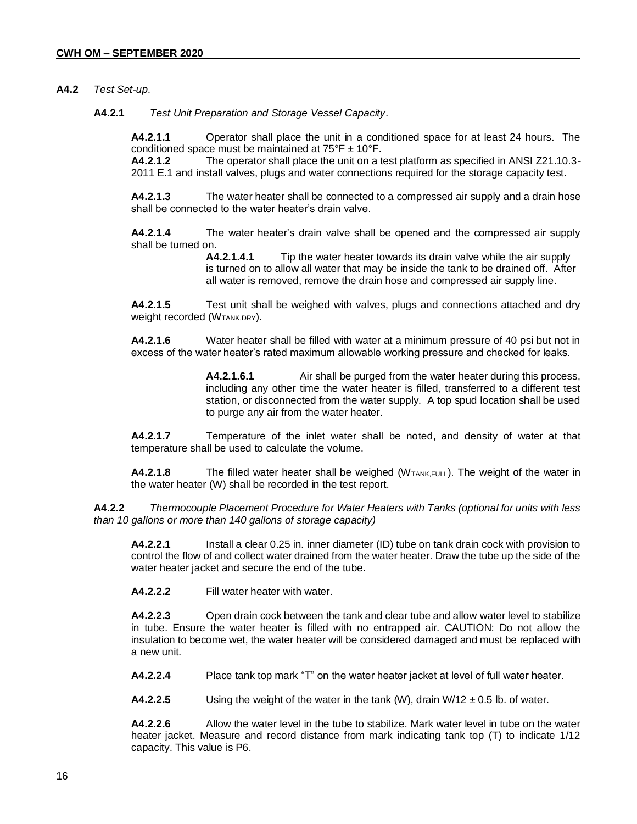## **A4.2** *Test Set-up*.

**A4.2.1** *Test Unit Preparation and Storage Vessel Capacity*.

**A4.2.1.1** Operator shall place the unit in a conditioned space for at least 24 hours. The conditioned space must be maintained at  $75^{\circ}$ F  $\pm$  10°F.

**A4.2.1.2** The operator shall place the unit on a test platform as specified in ANSI Z21.10.3- 2011 E.1 and install valves, plugs and water connections required for the storage capacity test.

**A4.2.1.3** The water heater shall be connected to a compressed air supply and a drain hose shall be connected to the water heater's drain valve.

**A4.2.1.4** The water heater's drain valve shall be opened and the compressed air supply shall be turned on.

> **A4.2.1.4.1** Tip the water heater towards its drain valve while the air supply is turned on to allow all water that may be inside the tank to be drained off. After all water is removed, remove the drain hose and compressed air supply line.

**A4.2.1.5** Test unit shall be weighed with valves, plugs and connections attached and dry Weight recorded (W<sub>TANK,DRY</sub>).

**A4.2.1.6** Water heater shall be filled with water at a minimum pressure of 40 psi but not in excess of the water heater's rated maximum allowable working pressure and checked for leaks.

> **A4.2.1.6.1** Air shall be purged from the water heater during this process, including any other time the water heater is filled, transferred to a different test station, or disconnected from the water supply. A top spud location shall be used to purge any air from the water heater.

**A4.2.1.7** Temperature of the inlet water shall be noted, and density of water at that temperature shall be used to calculate the volume.

**A4.2.1.8** The filled water heater shall be weighed (W<sub>TANK,FULL</sub>). The weight of the water in the water heater (W) shall be recorded in the test report.

**A4.2.2** *Thermocouple Placement Procedure for Water Heaters with Tanks (optional for units with less than 10 gallons or more than 140 gallons of storage capacity)*

**A4.2.2.1** Install a clear 0.25 in. inner diameter (ID) tube on tank drain cock with provision to control the flow of and collect water drained from the water heater. Draw the tube up the side of the water heater jacket and secure the end of the tube.

**A4.2.2.2** Fill water heater with water.

**A4.2.2.3** Open drain cock between the tank and clear tube and allow water level to stabilize in tube. Ensure the water heater is filled with no entrapped air. CAUTION: Do not allow the insulation to become wet, the water heater will be considered damaged and must be replaced with a new unit.

**A4.2.2.4** Place tank top mark "T" on the water heater jacket at level of full water heater.

**A4.2.2.5** Using the weight of the water in the tank (W), drain  $W/12 \pm 0.5$  lb. of water.

**A4.2.2.6** Allow the water level in the tube to stabilize. Mark water level in tube on the water heater jacket. Measure and record distance from mark indicating tank top (T) to indicate 1/12 capacity. This value is P6.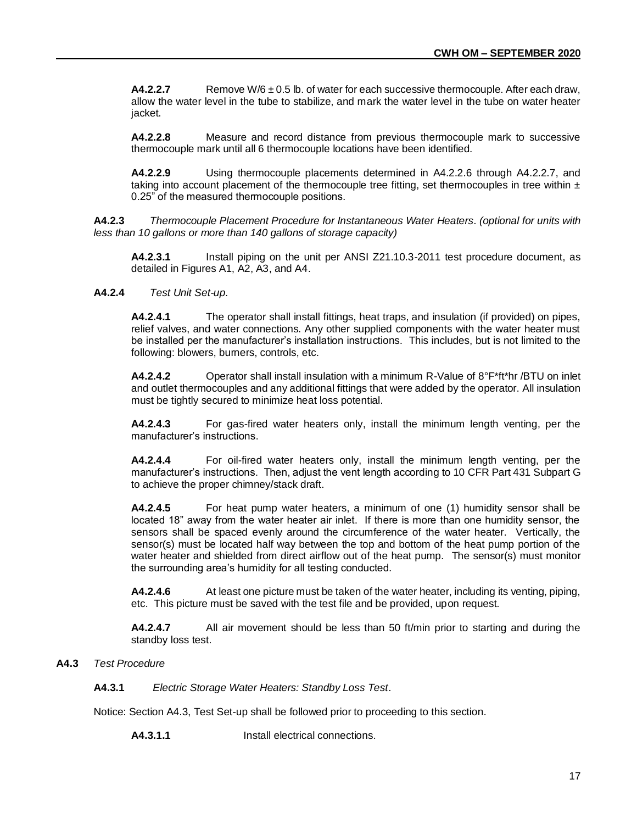**A4.2.2.7** Remove W/6  $\pm$  0.5 lb. of water for each successive thermocouple. After each draw, allow the water level in the tube to stabilize, and mark the water level in the tube on water heater jacket.

**A4.2.2.8** Measure and record distance from previous thermocouple mark to successive thermocouple mark until all 6 thermocouple locations have been identified.

**A4.2.2.9** Using thermocouple placements determined in A4.2.2.6 through A4.2.2.7, and taking into account placement of the thermocouple tree fitting, set thermocouples in tree within  $\pm$ 0.25" of the measured thermocouple positions.

**A4.2.3** *Thermocouple Placement Procedure for Instantaneous Water Heaters*. *(optional for units with less than 10 gallons or more than 140 gallons of storage capacity)*

**A4.2.3.1** Install piping on the unit per ANSI Z21.10.3-2011 test procedure document, as detailed in Figures A1, A2, A3, and A4.

# **A4.2.4** *Test Unit Set-up*.

**A4.2.4.1** The operator shall install fittings, heat traps, and insulation (if provided) on pipes, relief valves, and water connections. Any other supplied components with the water heater must be installed per the manufacturer's installation instructions. This includes, but is not limited to the following: blowers, burners, controls, etc.

**A4.2.4.2** Operator shall install insulation with a minimum R-Value of 8°F\*ft\*hr /BTU on inlet and outlet thermocouples and any additional fittings that were added by the operator. All insulation must be tightly secured to minimize heat loss potential.

**A4.2.4.3** For gas-fired water heaters only, install the minimum length venting, per the manufacturer's instructions.

**A4.2.4.4** For oil-fired water heaters only, install the minimum length venting, per the manufacturer's instructions. Then, adjust the vent length according to 10 CFR Part 431 Subpart G to achieve the proper chimney/stack draft.

**A4.2.4.5** For heat pump water heaters, a minimum of one (1) humidity sensor shall be located 18" away from the water heater air inlet. If there is more than one humidity sensor, the sensors shall be spaced evenly around the circumference of the water heater. Vertically, the sensor(s) must be located half way between the top and bottom of the heat pump portion of the water heater and shielded from direct airflow out of the heat pump. The sensor(s) must monitor the surrounding area's humidity for all testing conducted.

**A4.2.4.6** At least one picture must be taken of the water heater, including its venting, piping, etc. This picture must be saved with the test file and be provided, upon request.

**A4.2.4.7** All air movement should be less than 50 ft/min prior to starting and during the standby loss test.

# **A4.3** *Test Procedure*

**A4.3.1** *Electric Storage Water Heaters: Standby Loss Test*.

Notice: Section A4.3, Test Set-up shall be followed prior to proceeding to this section.

**A4.3.1.1** Install electrical connections.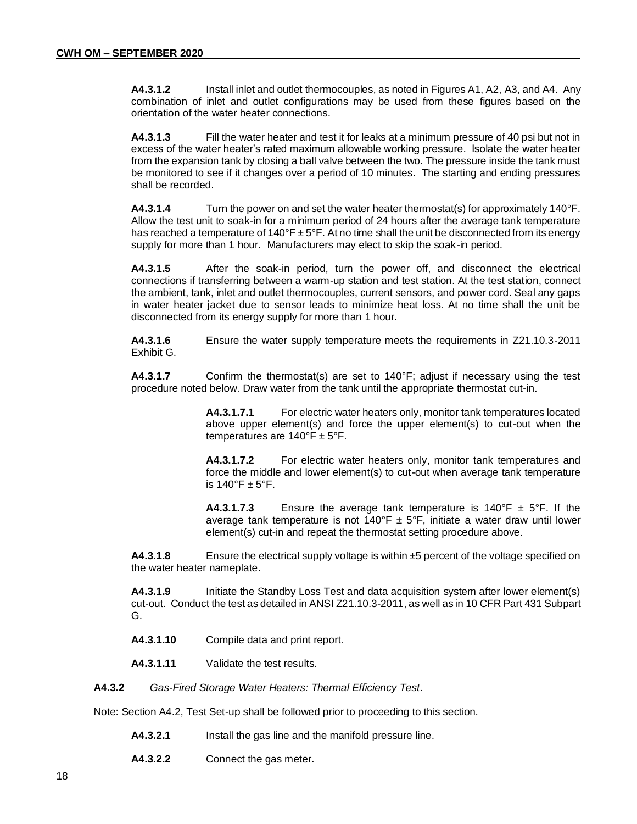**A4.3.1.2** Install inlet and outlet thermocouples, as noted in Figures A1, A2, A3, and A4. Any combination of inlet and outlet configurations may be used from these figures based on the orientation of the water heater connections.

**A4.3.1.3** Fill the water heater and test it for leaks at a minimum pressure of 40 psi but not in excess of the water heater's rated maximum allowable working pressure. Isolate the water heater from the expansion tank by closing a ball valve between the two. The pressure inside the tank must be monitored to see if it changes over a period of 10 minutes. The starting and ending pressures shall be recorded.

**A4.3.1.4** Turn the power on and set the water heater thermostat(s) for approximately 140°F. Allow the test unit to soak-in for a minimum period of 24 hours after the average tank temperature has reached a temperature of 140°F  $\pm$  5°F. At no time shall the unit be disconnected from its energy supply for more than 1 hour. Manufacturers may elect to skip the soak-in period.

**A4.3.1.5** After the soak-in period, turn the power off, and disconnect the electrical connections if transferring between a warm-up station and test station. At the test station, connect the ambient, tank, inlet and outlet thermocouples, current sensors, and power cord. Seal any gaps in water heater jacket due to sensor leads to minimize heat loss. At no time shall the unit be disconnected from its energy supply for more than 1 hour.

**A4.3.1.6** Ensure the water supply temperature meets the requirements in Z21.10.3-2011 Exhibit G.

**A4.3.1.7** Confirm the thermostat(s) are set to 140°F; adjust if necessary using the test procedure noted below. Draw water from the tank until the appropriate thermostat cut-in.

> **A4.3.1.7.1** For electric water heaters only, monitor tank temperatures located above upper element(s) and force the upper element(s) to cut-out when the temperatures are  $140^{\circ}$ F ± 5°F.

> **A4.3.1.7.2** For electric water heaters only, monitor tank temperatures and force the middle and lower element(s) to cut-out when average tank temperature is  $140^\circ$ F  $\pm$  5°F.

> **A4.3.1.7.3** Ensure the average tank temperature is 140 $\degree$ F  $\pm$  5 $\degree$ F. If the average tank temperature is not  $140^{\circ}F \pm 5^{\circ}F$ , initiate a water draw until lower element(s) cut-in and repeat the thermostat setting procedure above.

**A4.3.1.8** Ensure the electrical supply voltage is within ±5 percent of the voltage specified on the water heater nameplate.

**A4.3.1.9** Initiate the Standby Loss Test and data acquisition system after lower element(s) cut-out. Conduct the test as detailed in ANSI Z21.10.3-2011, as well as in 10 CFR Part 431 Subpart G.

- **A4.3.1.10** Compile data and print report.
- **A4.3.1.11** Validate the test results.

**A4.3.2** *Gas-Fired Storage Water Heaters: Thermal Efficiency Test*.

Note: Section A4.2, Test Set-up shall be followed prior to proceeding to this section.

- **A4.3.2.1** Install the gas line and the manifold pressure line.
- **A4.3.2.2** Connect the gas meter.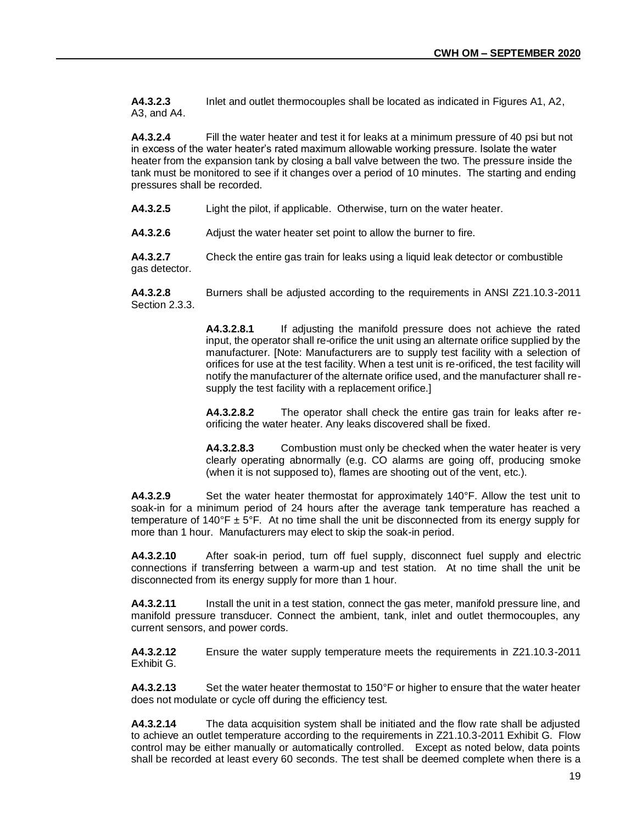**A4.3.2.3** Inlet and outlet thermocouples shall be located as indicated in Figures A1, A2, A3, and A4.

**A4.3.2.4** Fill the water heater and test it for leaks at a minimum pressure of 40 psi but not in excess of the water heater's rated maximum allowable working pressure. Isolate the water heater from the expansion tank by closing a ball valve between the two. The pressure inside the tank must be monitored to see if it changes over a period of 10 minutes. The starting and ending pressures shall be recorded.

**A4.3.2.5** Light the pilot, if applicable. Otherwise, turn on the water heater.

**A4.3.2.6** Adjust the water heater set point to allow the burner to fire.

**A4.3.2.7** Check the entire gas train for leaks using a liquid leak detector or combustible gas detector.

**A4.3.2.8** Burners shall be adjusted according to the requirements in ANSI Z21.10.3-2011 Section 2.3.3.

> **A4.3.2.8.1** If adjusting the manifold pressure does not achieve the rated input, the operator shall re-orifice the unit using an alternate orifice supplied by the manufacturer. [Note: Manufacturers are to supply test facility with a selection of orifices for use at the test facility. When a test unit is re-orificed, the test facility will notify the manufacturer of the alternate orifice used, and the manufacturer shall resupply the test facility with a replacement orifice.]

> **A4.3.2.8.2** The operator shall check the entire gas train for leaks after reorificing the water heater. Any leaks discovered shall be fixed.

> **A4.3.2.8.3** Combustion must only be checked when the water heater is very clearly operating abnormally (e.g. CO alarms are going off, producing smoke (when it is not supposed to), flames are shooting out of the vent, etc.).

**A4.3.2.9** Set the water heater thermostat for approximately 140°F. Allow the test unit to soak-in for a minimum period of 24 hours after the average tank temperature has reached a temperature of 140°F  $\pm$  5°F. At no time shall the unit be disconnected from its energy supply for more than 1 hour. Manufacturers may elect to skip the soak-in period.

**A4.3.2.10** After soak-in period, turn off fuel supply, disconnect fuel supply and electric connections if transferring between a warm-up and test station. At no time shall the unit be disconnected from its energy supply for more than 1 hour.

**A4.3.2.11** Install the unit in a test station, connect the gas meter, manifold pressure line, and manifold pressure transducer. Connect the ambient, tank, inlet and outlet thermocouples, any current sensors, and power cords.

**A4.3.2.12** Ensure the water supply temperature meets the requirements in Z21.10.3-2011 Exhibit G.

**A4.3.2.13** Set the water heater thermostat to 150°F or higher to ensure that the water heater does not modulate or cycle off during the efficiency test.

**A4.3.2.14** The data acquisition system shall be initiated and the flow rate shall be adjusted to achieve an outlet temperature according to the requirements in Z21.10.3-2011 Exhibit G. Flow control may be either manually or automatically controlled. Except as noted below, data points shall be recorded at least every 60 seconds. The test shall be deemed complete when there is a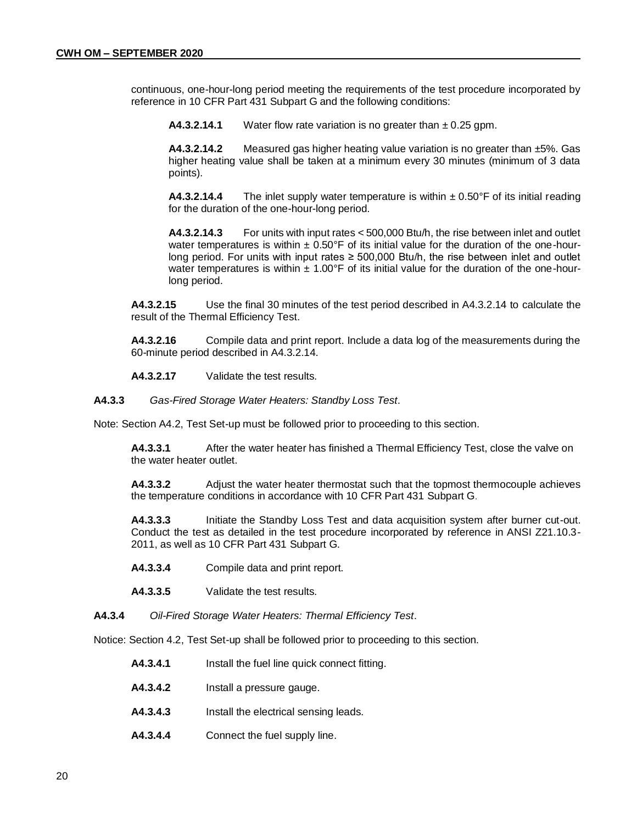continuous, one-hour-long period meeting the requirements of the test procedure incorporated by reference in 10 CFR Part 431 Subpart G and the following conditions:

**A4.3.2.14.1** Water flow rate variation is no greater than ± 0.25 gpm.

**A4.3.2.14.2** Measured gas higher heating value variation is no greater than ±5%. Gas higher heating value shall be taken at a minimum every 30 minutes (minimum of 3 data points).

**A4.3.2.14.4** The inlet supply water temperature is within ± 0.50°F of its initial reading for the duration of the one-hour-long period.

**A4.3.2.14.3** For units with input rates < 500,000 Btu/h, the rise between inlet and outlet water temperatures is within  $\pm 0.50^{\circ}$  F of its initial value for the duration of the one-hourlong period. For units with input rates  $\geq 500,000$  Btu/h, the rise between inlet and outlet water temperatures is within  $\pm 1.00^{\circ}$  F of its initial value for the duration of the one-hourlong period.

**A4.3.2.15** Use the final 30 minutes of the test period described in A4.3.2.14 to calculate the result of the Thermal Efficiency Test.

**A4.3.2.16** Compile data and print report. Include a data log of the measurements during the 60-minute period described in A4.3.2.14.

**A4.3.2.17** Validate the test results.

**A4.3.3** *Gas-Fired Storage Water Heaters: Standby Loss Test*.

Note: Section A4.2, Test Set-up must be followed prior to proceeding to this section.

**A4.3.3.1** After the water heater has finished a Thermal Efficiency Test, close the valve on the water heater outlet.

**A4.3.3.2** Adjust the water heater thermostat such that the topmost thermocouple achieves the temperature conditions in accordance with 10 CFR Part 431 Subpart G.

**A4.3.3.3** Initiate the Standby Loss Test and data acquisition system after burner cut-out. Conduct the test as detailed in the test procedure incorporated by reference in ANSI Z21.10.3- 2011, as well as 10 CFR Part 431 Subpart G.

- **A4.3.3.4** Compile data and print report.
- **A4.3.3.5** Validate the test results.
- **A4.3.4** *Oil-Fired Storage Water Heaters: Thermal Efficiency Test*.

Notice: Section 4.2, Test Set-up shall be followed prior to proceeding to this section.

- **A4.3.4.1** Install the fuel line quick connect fitting.
- **A4.3.4.2** Install a pressure gauge.
- **A4.3.4.3** Install the electrical sensing leads.
- **A4.3.4.4** Connect the fuel supply line.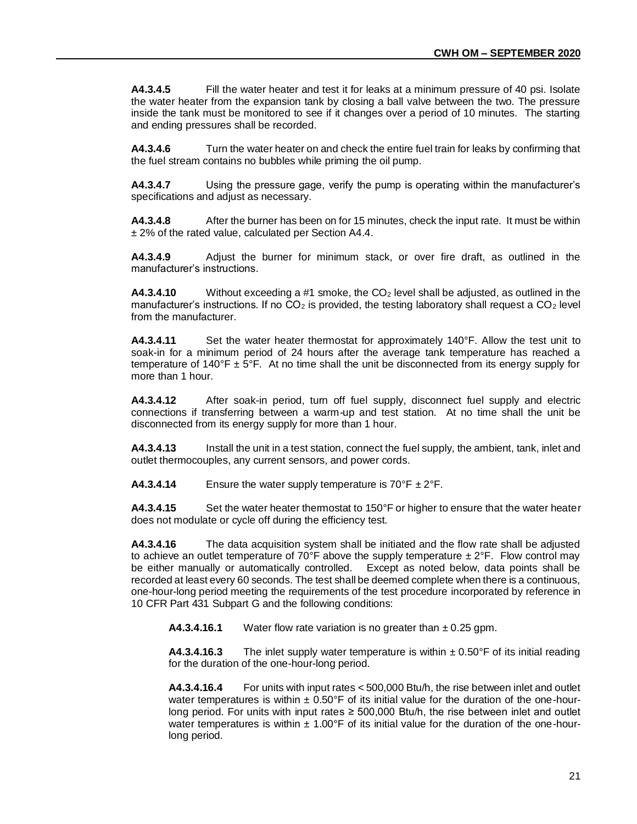**A4.3.4.5** Fill the water heater and test it for leaks at a minimum pressure of 40 psi. Isolate the water heater from the expansion tank by closing a ball valve between the two. The pressure inside the tank must be monitored to see if it changes over a period of 10 minutes. The starting and ending pressures shall be recorded.

**A4.3.4.6** Turn the water heater on and check the entire fuel train for leaks by confirming that the fuel stream contains no bubbles while priming the oil pump.

**A4.3.4.7** Using the pressure gage, verify the pump is operating within the manufacturer's specifications and adjust as necessary.

**A4.3.4.8** After the burner has been on for 15 minutes, check the input rate. It must be within ± 2% of the rated value, calculated per Section A4.4.

**A4.3.4.9** Adjust the burner for minimum stack, or over fire draft, as outlined in the manufacturer's instructions.

**A4.3.4.10** Without exceeding a #1 smoke, the CO<sub>2</sub> level shall be adjusted, as outlined in the manufacturer's instructions. If no  $CO<sub>2</sub>$  is provided, the testing laboratory shall request a  $CO<sub>2</sub>$  level from the manufacturer.

**A4.3.4.11** Set the water heater thermostat for approximately 140°F. Allow the test unit to soak-in for a minimum period of 24 hours after the average tank temperature has reached a temperature of 140°F  $\pm$  5°F. At no time shall the unit be disconnected from its energy supply for more than 1 hour.

**A4.3.4.12** After soak-in period, turn off fuel supply, disconnect fuel supply and electric connections if transferring between a warm-up and test station. At no time shall the unit be disconnected from its energy supply for more than 1 hour.

**A4.3.4.13** Install the unit in a test station, connect the fuel supply, the ambient, tank, inlet and outlet thermocouples, any current sensors, and power cords.

**A4.3.4.14** Ensure the water supply temperature is  $70^{\circ}$ F  $\pm 2^{\circ}$ F.

**A4.3.4.15** Set the water heater thermostat to 150°F or higher to ensure that the water heater does not modulate or cycle off during the efficiency test.

**A4.3.4.16** The data acquisition system shall be initiated and the flow rate shall be adjusted to achieve an outlet temperature of 70°F above the supply temperature  $\pm 2$ °F. Flow control may be either manually or automatically controlled. Except as noted below, data points shall be recorded at least every 60 seconds. The test shall be deemed complete when there is a continuous, one-hour-long period meeting the requirements of the test procedure incorporated by reference in 10 CFR Part 431 Subpart G and the following conditions:

**A4.3.4.16.1** Water flow rate variation is no greater than ± 0.25 gpm.

**A4.3.4.16.3** The inlet supply water temperature is within  $\pm 0.50$ °F of its initial reading for the duration of the one-hour-long period.

**A4.3.4.16.4** For units with input rates < 500,000 Btu/h, the rise between inlet and outlet water temperatures is within  $\pm 0.50$ °F of its initial value for the duration of the one-hourlong period. For units with input rates  $\geq 500,000$  Btu/h, the rise between inlet and outlet water temperatures is within  $\pm 1.00^{\circ}$  F of its initial value for the duration of the one-hourlong period.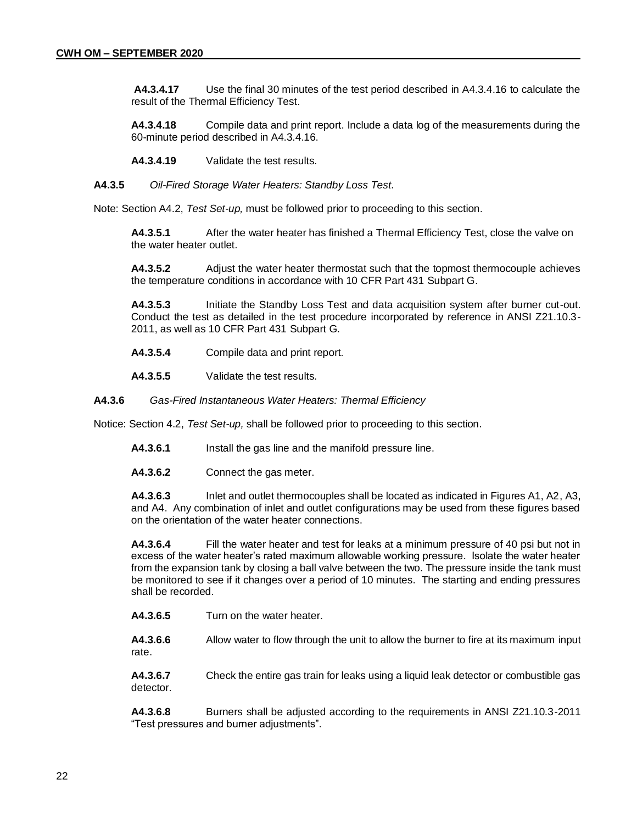**A4.3.4.17** Use the final 30 minutes of the test period described in A4.3.4.16 to calculate the result of the Thermal Efficiency Test.

**A4.3.4.18** Compile data and print report. Include a data log of the measurements during the 60-minute period described in A4.3.4.16.

**A4.3.4.19** Validate the test results.

**A4.3.5** *Oil-Fired Storage Water Heaters: Standby Loss Test*.

Note: Section A4.2, *Test Set-up,* must be followed prior to proceeding to this section.

**A4.3.5.1** After the water heater has finished a Thermal Efficiency Test, close the valve on the water heater outlet.

**A4.3.5.2** Adjust the water heater thermostat such that the topmost thermocouple achieves the temperature conditions in accordance with 10 CFR Part 431 Subpart G.

**A4.3.5.3** Initiate the Standby Loss Test and data acquisition system after burner cut-out. Conduct the test as detailed in the test procedure incorporated by reference in ANSI Z21.10.3- 2011, as well as 10 CFR Part 431 Subpart G.

- **A4.3.5.4** Compile data and print report.
- **A4.3.5.5** Validate the test results.

**A4.3.6** *Gas-Fired Instantaneous Water Heaters: Thermal Efficiency* 

Notice: Section 4.2, *Test Set-up,* shall be followed prior to proceeding to this section.

- **A4.3.6.1** Install the gas line and the manifold pressure line.
- **A4.3.6.2** Connect the gas meter.

**A4.3.6.3** Inlet and outlet thermocouples shall be located as indicated in Figures A1, A2, A3, and A4. Any combination of inlet and outlet configurations may be used from these figures based on the orientation of the water heater connections.

**A4.3.6.4** Fill the water heater and test for leaks at a minimum pressure of 40 psi but not in excess of the water heater's rated maximum allowable working pressure. Isolate the water heater from the expansion tank by closing a ball valve between the two. The pressure inside the tank must be monitored to see if it changes over a period of 10 minutes. The starting and ending pressures shall be recorded.

**A4.3.6.5** Turn on the water heater.

**A4.3.6.6** Allow water to flow through the unit to allow the burner to fire at its maximum input rate.

**A4.3.6.7** Check the entire gas train for leaks using a liquid leak detector or combustible gas detector.

**A4.3.6.8** Burners shall be adjusted according to the requirements in ANSI Z21.10.3-2011 "Test pressures and burner adjustments".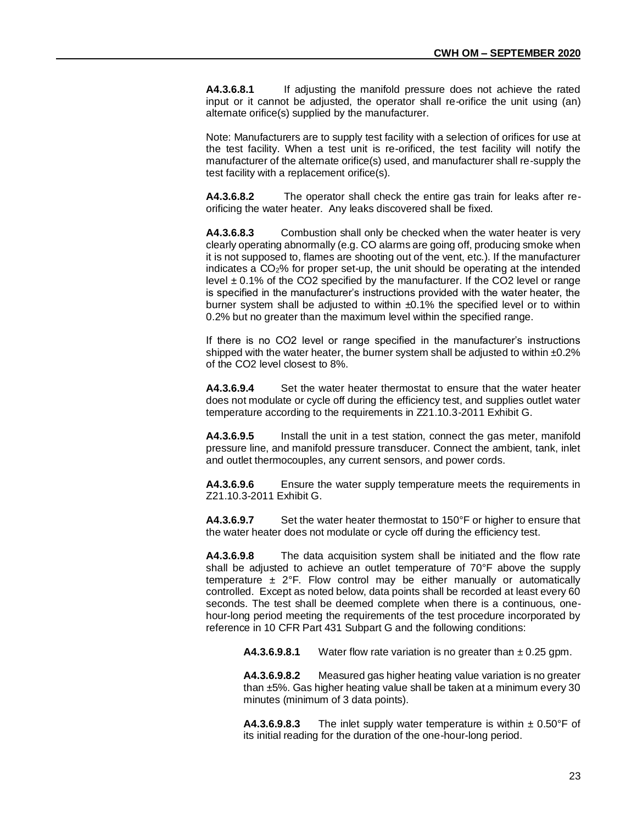**A4.3.6.8.1** If adjusting the manifold pressure does not achieve the rated input or it cannot be adjusted, the operator shall re-orifice the unit using (an) alternate orifice(s) supplied by the manufacturer.

Note: Manufacturers are to supply test facility with a selection of orifices for use at the test facility. When a test unit is re-orificed, the test facility will notify the manufacturer of the alternate orifice(s) used, and manufacturer shall re-supply the test facility with a replacement orifice(s).

**A4.3.6.8.2** The operator shall check the entire gas train for leaks after reorificing the water heater. Any leaks discovered shall be fixed.

**A4.3.6.8.3** Combustion shall only be checked when the water heater is very clearly operating abnormally (e.g. CO alarms are going off, producing smoke when it is not supposed to, flames are shooting out of the vent, etc.). If the manufacturer indicates a CO2% for proper set-up, the unit should be operating at the intended level  $\pm$  0.1% of the CO2 specified by the manufacturer. If the CO2 level or range is specified in the manufacturer's instructions provided with the water heater, the burner system shall be adjusted to within  $\pm 0.1\%$  the specified level or to within 0.2% but no greater than the maximum level within the specified range.

If there is no CO2 level or range specified in the manufacturer's instructions shipped with the water heater, the burner system shall be adjusted to within  $\pm 0.2\%$ of the CO2 level closest to 8%.

**A4.3.6.9.4** Set the water heater thermostat to ensure that the water heater does not modulate or cycle off during the efficiency test, and supplies outlet water temperature according to the requirements in Z21.10.3-2011 Exhibit G.

**A4.3.6.9.5** Install the unit in a test station, connect the gas meter, manifold pressure line, and manifold pressure transducer. Connect the ambient, tank, inlet and outlet thermocouples, any current sensors, and power cords.

**A4.3.6.9.6** Ensure the water supply temperature meets the requirements in Z21.10.3-2011 Exhibit G.

**A4.3.6.9.7** Set the water heater thermostat to 150°F or higher to ensure that the water heater does not modulate or cycle off during the efficiency test.

**A4.3.6.9.8** The data acquisition system shall be initiated and the flow rate shall be adjusted to achieve an outlet temperature of 70°F above the supply temperature  $\pm$  2°F. Flow control may be either manually or automatically controlled. Except as noted below, data points shall be recorded at least every 60 seconds. The test shall be deemed complete when there is a continuous, onehour-long period meeting the requirements of the test procedure incorporated by reference in 10 CFR Part 431 Subpart G and the following conditions:

**A4.3.6.9.8.1** Water flow rate variation is no greater than  $\pm$  0.25 gpm.

**A4.3.6.9.8.2** Measured gas higher heating value variation is no greater than ±5%. Gas higher heating value shall be taken at a minimum every 30 minutes (minimum of 3 data points).

**A4.3.6.9.8.3** The inlet supply water temperature is within  $\pm 0.50^{\circ}$ F of its initial reading for the duration of the one-hour-long period.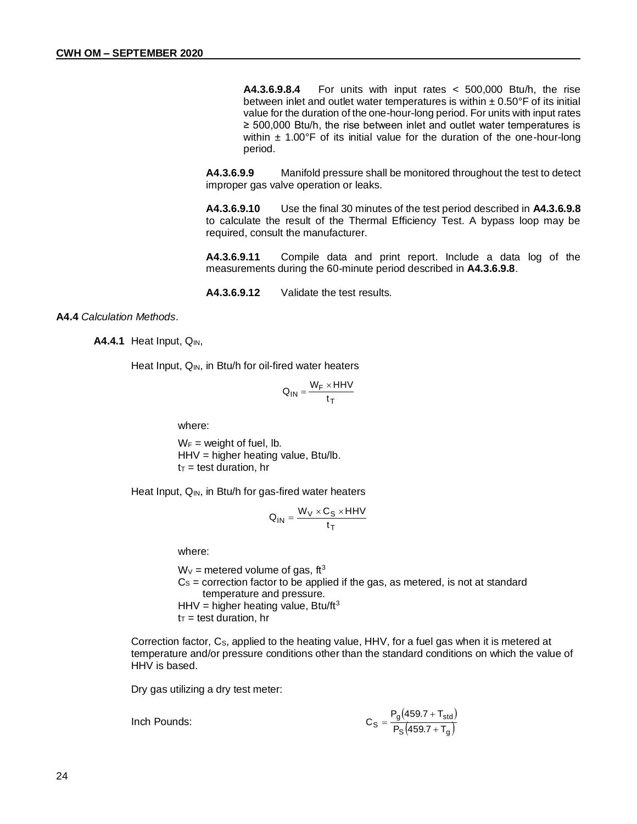**A4.3.6.9.8.4** For units with input rates < 500,000 Btu/h, the rise between inlet and outlet water temperatures is within  $\pm$  0.50°F of its initial value for the duration of the one-hour-long period. For units with input rates ≥ 500,000 Btu/h, the rise between inlet and outlet water temperatures is within  $\pm$  1.00°F of its initial value for the duration of the one-hour-long period.

**A4.3.6.9.9** Manifold pressure shall be monitored throughout the test to detect improper gas valve operation or leaks.

**A4.3.6.9.10** Use the final 30 minutes of the test period described in **A4.3.6.9.8**  to calculate the result of the Thermal Efficiency Test. A bypass loop may be required, consult the manufacturer.

**A4.3.6.9.11** Compile data and print report. Include a data log of the measurements during the 60-minute period described in **A4.3.6.9.8**.

**A4.3.6.9.12** Validate the test results.

# **A4.4** *Calculation Methods*.

**A4.4.1** Heat Input, Q<sub>IN</sub>,

Heat Input, Q<sub>IN</sub>, in Btu/h for oil-fired water heaters

$$
Q_{IN} = \frac{W_F \times HHV}{t_T}
$$

where:

 $W_F$  = weight of fuel, lb. HHV = higher heating value, Btu/lb.  $t_T$  = test duration, hr

Heat Input, Q<sub>IN</sub>, in Btu/h for gas-fired water heaters

$$
Q_{IN} = \frac{W_V \times C_S \times HHV}{t_T}
$$

where:

 $W_v$  = metered volume of gas, ft<sup>3</sup>  $Cs =$  correction factor to be applied if the gas, as metered, is not at standard temperature and pressure. HHV = higher heating value, Btu/ft<sup>3</sup>  $t_T$  = test duration, hr

Correction factor, Cs, applied to the heating value, HHV, for a fuel gas when it is metered at temperature and/or pressure conditions other than the standard conditions on which the value of HHV is based.

Dry gas utilizing a dry test meter:

Inch Pounds:

$$
C_{S} = \frac{P_{g}(459.7 + T_{std})}{P_{S}(459.7 + T_{g})}
$$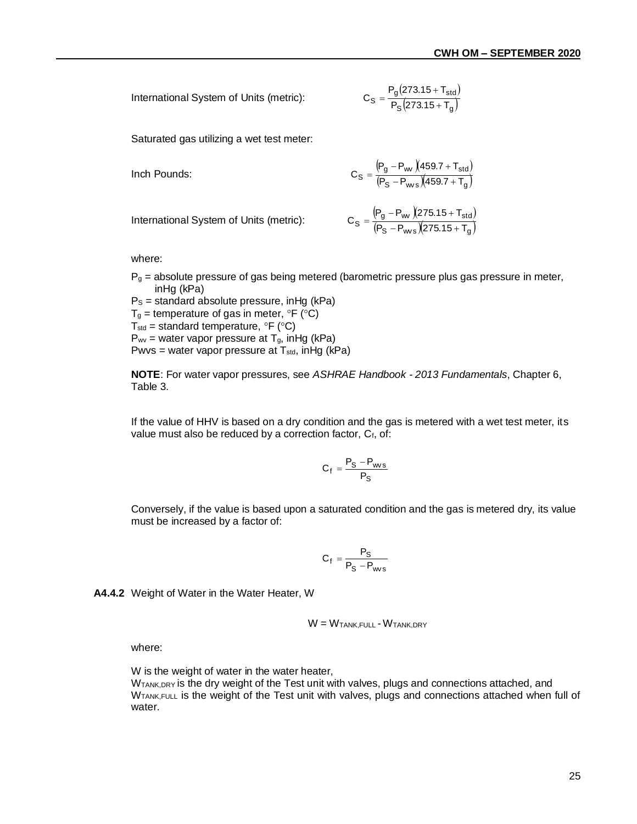International System of Units (metric):

$$
C_{S} = \frac{P_{g}(273.15 + T_{std})}{P_{S}(273.15 + T_{g})}
$$

Saturated gas utilizing a wet test meter:

Inch Pounds:

\n
$$
C_{S} = \frac{(P_{g} - P_{w})(459.7 + T_{std})}{(P_{S} - P_{w})(459.7 + T_{g})}
$$

International System of Units (metric):

$$
C_S = \frac{\left( P_g - P_{\text{wv}} \right) \left( 275.15 + T_{\text{std}} \right)}{\left( P_S - P_{\text{wvs}} \right) \left( 275.15 + T_g \right)}
$$

where:

 $P<sub>g</sub>$  = absolute pressure of gas being metered (barometric pressure plus gas pressure in meter, inHg (kPa)

 $Ps =$  standard absolute pressure, in Hg (kPa)  $T_g$  = temperature of gas in meter,  $\degree$ F ( $\degree$ C) T<sub>std</sub> = standard temperature,  ${}^{\circ}$ F ( ${}^{\circ}$ C)  $P_{wv}$  = water vapor pressure at T<sub>g</sub>, in Hg (kPa) Pwvs = water vapor pressure at  $T_{std}$ , inHg (kPa)

**NOTE**: For water vapor pressures, see *ASHRAE Handbook - 2013 Fundamentals*, Chapter 6, Table 3.

If the value of HHV is based on a dry condition and the gas is metered with a wet test meter, its value must also be reduced by a correction factor, Cf, of:

$$
C_f = \frac{P_S - P_{wvs}}{P_S}
$$

Conversely, if the value is based upon a saturated condition and the gas is metered dry, its value must be increased by a factor of:

$$
C_f = \frac{P_S}{P_S - P_{\text{ws}}}
$$

**A4.4.2** Weight of Water in the Water Heater, W

$$
W = W_{TANK,FULL} - W_{TANK,DRY}
$$

where:

W is the weight of water in the water heater,

W<sub>TANK,DRY</sub> is the dry weight of the Test unit with valves, plugs and connections attached, and W<sub>TANK,FULL</sub> is the weight of the Test unit with valves, plugs and connections attached when full of water.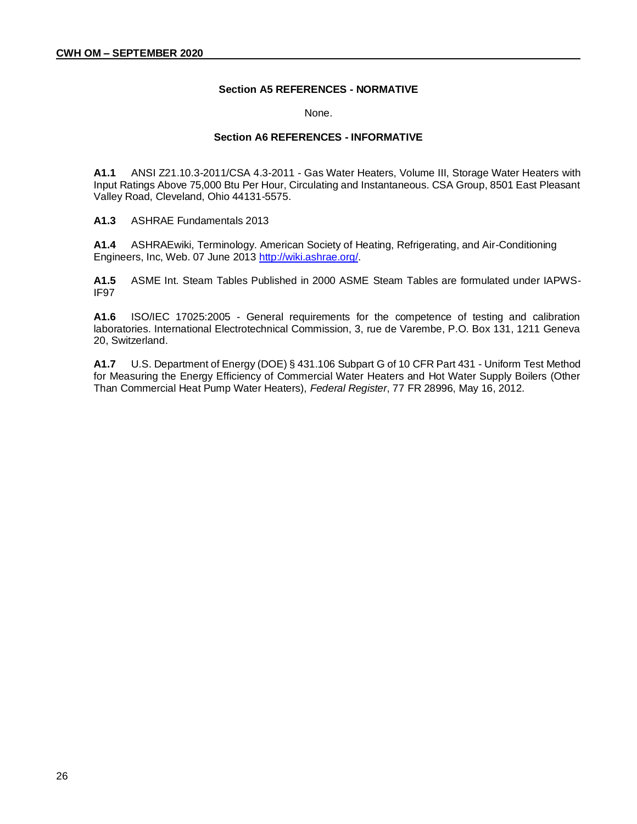# **Section A5 REFERENCES - NORMATIVE**

None.

#### **Section A6 REFERENCES - INFORMATIVE**

**A1.1** ANSI Z21.10.3-2011/CSA 4.3-2011 - Gas Water Heaters, Volume III, Storage Water Heaters with Input Ratings Above 75,000 Btu Per Hour, Circulating and Instantaneous. CSA Group, 8501 East Pleasant Valley Road, Cleveland, Ohio 44131-5575.

**A1.3** ASHRAE Fundamentals 2013

**A1.4** ASHRAEwiki, Terminology. American Society of Heating, Refrigerating, and Air-Conditioning Engineers, Inc, Web. 07 June 2013 [http://wiki.ashrae.org/.](http://wiki.ashrae.org/)

**A1.5** ASME Int. Steam Tables Published in 2000 ASME Steam Tables are formulated under IAPWS-IF97

**A1.6** ISO/IEC 17025:2005 - General requirements for the competence of testing and calibration laboratories. International Electrotechnical Commission, 3, rue de Varembe, P.O. Box 131, 1211 Geneva 20, Switzerland.

**A1.7** U.S. Department of Energy (DOE) § 431.106 Subpart G of 10 CFR Part 431 - Uniform Test Method for Measuring the Energy Efficiency of Commercial Water Heaters and Hot Water Supply Boilers (Other Than Commercial Heat Pump Water Heaters), *Federal Register*, 77 FR 28996, May 16, 2012.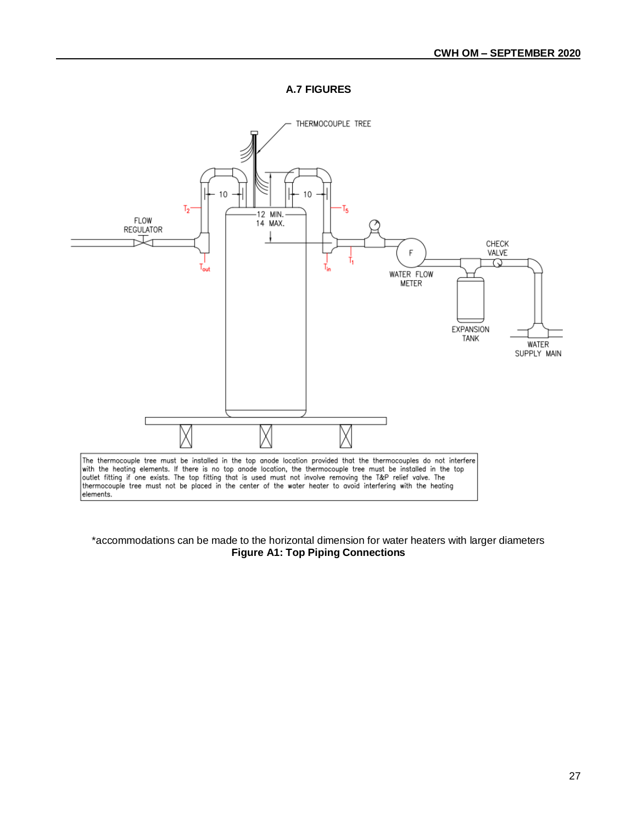**A.7 FIGURES**



# \*accommodations can be made to the horizontal dimension for water heaters with larger diameters **Figure A1: Top Piping Connections**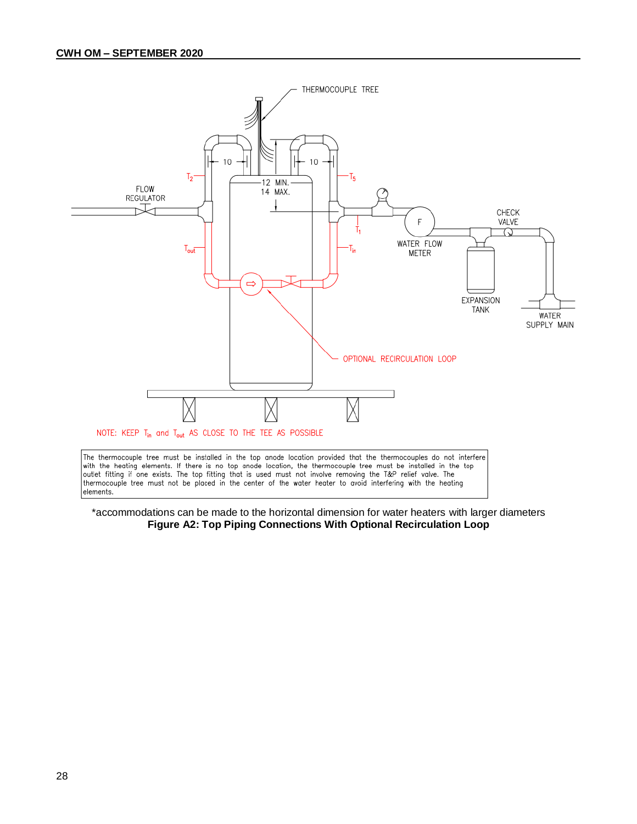

\*accommodations can be made to the horizontal dimension for water heaters with larger diameters **Figure A2: Top Piping Connections With Optional Recirculation Loop**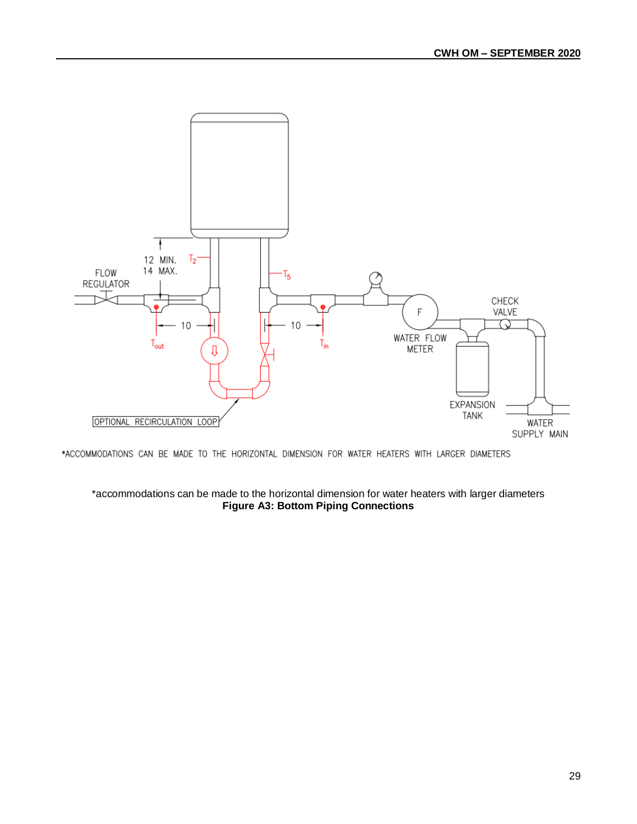

\*ACCOMMODATIONS CAN BE MADE TO THE HORIZONTAL DIMENSION FOR WATER HEATERS WITH LARGER DIAMETERS

## \*accommodations can be made to the horizontal dimension for water heaters with larger diameters **Figure A3: Bottom Piping Connections**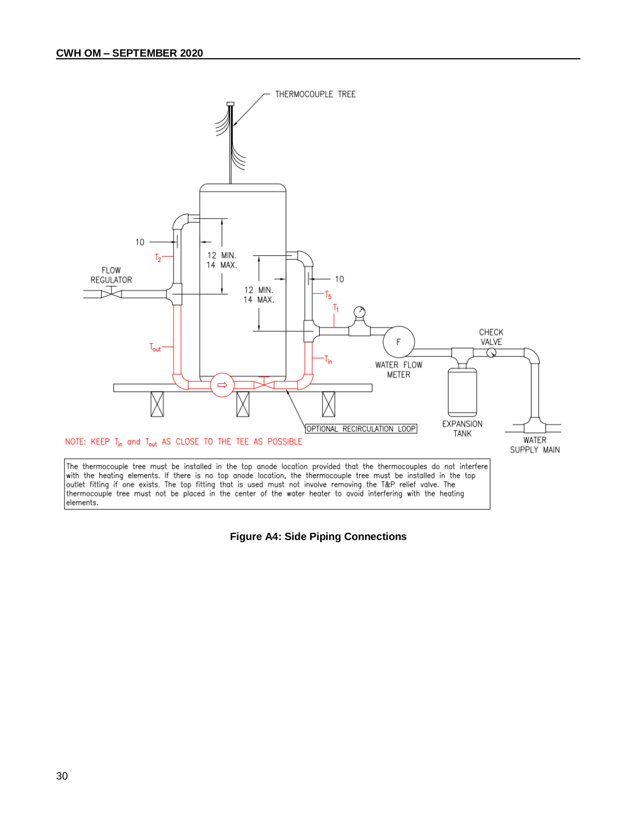

**Figure A4: Side Piping Connections**